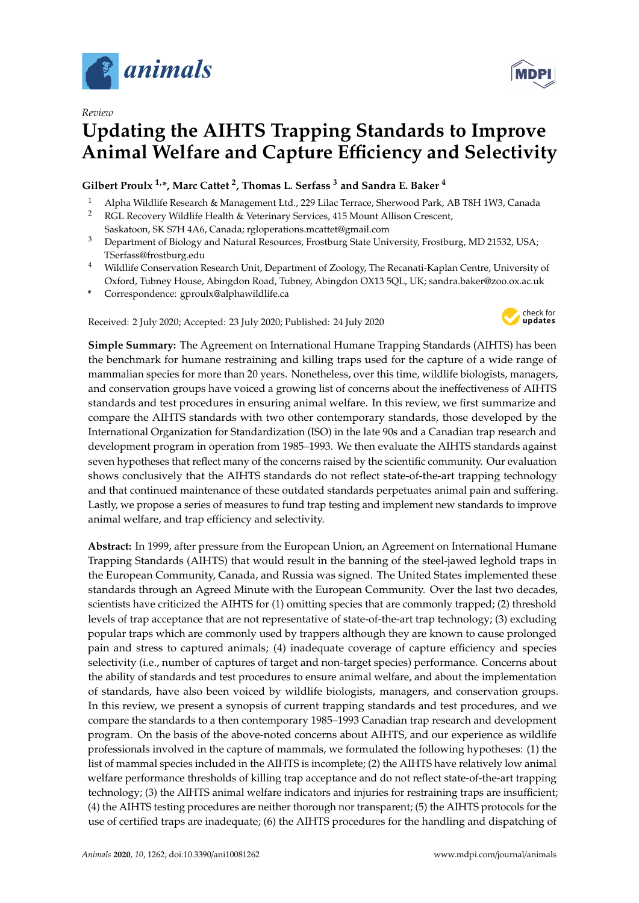

*Review*

# **Updating the AIHTS Trapping Standards to Improve Animal Welfare and Capture E**ffi**ciency and Selectivity**

**Gilbert Proulx 1,\*, Marc Cattet <sup>2</sup> , Thomas L. Serfass <sup>3</sup> and Sandra E. Baker <sup>4</sup>**

- <sup>1</sup> Alpha Wildlife Research & Management Ltd., 229 Lilac Terrace, Sherwood Park, AB T8H 1W3, Canada <sup>2</sup> RGL Recovery Wildlife Health & Veterinary Services, 415 Mount Allison Crescent,
- Saskatoon, SK S7H 4A6, Canada; rgloperations.mcattet@gmail.com
- <sup>3</sup> Department of Biology and Natural Resources, Frostburg State University, Frostburg, MD 21532, USA; TSerfass@frostburg.edu
- <sup>4</sup> Wildlife Conservation Research Unit, Department of Zoology, The Recanati-Kaplan Centre, University of Oxford, Tubney House, Abingdon Road, Tubney, Abingdon OX13 5QL, UK; sandra.baker@zoo.ox.ac.uk
- **\*** Correspondence: gproulx@alphawildlife.ca

Received: 2 July 2020; Accepted: 23 July 2020; Published: 24 July 2020



**Simple Summary:** The Agreement on International Humane Trapping Standards (AIHTS) has been the benchmark for humane restraining and killing traps used for the capture of a wide range of mammalian species for more than 20 years. Nonetheless, over this time, wildlife biologists, managers, and conservation groups have voiced a growing list of concerns about the ineffectiveness of AIHTS standards and test procedures in ensuring animal welfare. In this review, we first summarize and compare the AIHTS standards with two other contemporary standards, those developed by the International Organization for Standardization (ISO) in the late 90s and a Canadian trap research and development program in operation from 1985–1993. We then evaluate the AIHTS standards against seven hypotheses that reflect many of the concerns raised by the scientific community. Our evaluation shows conclusively that the AIHTS standards do not reflect state-of-the-art trapping technology and that continued maintenance of these outdated standards perpetuates animal pain and suffering. Lastly, we propose a series of measures to fund trap testing and implement new standards to improve animal welfare, and trap efficiency and selectivity.

**Abstract:** In 1999, after pressure from the European Union, an Agreement on International Humane Trapping Standards (AIHTS) that would result in the banning of the steel-jawed leghold traps in the European Community, Canada, and Russia was signed. The United States implemented these standards through an Agreed Minute with the European Community. Over the last two decades, scientists have criticized the AIHTS for (1) omitting species that are commonly trapped; (2) threshold levels of trap acceptance that are not representative of state-of-the-art trap technology; (3) excluding popular traps which are commonly used by trappers although they are known to cause prolonged pain and stress to captured animals; (4) inadequate coverage of capture efficiency and species selectivity (i.e., number of captures of target and non-target species) performance. Concerns about the ability of standards and test procedures to ensure animal welfare, and about the implementation of standards, have also been voiced by wildlife biologists, managers, and conservation groups. In this review, we present a synopsis of current trapping standards and test procedures, and we compare the standards to a then contemporary 1985–1993 Canadian trap research and development program. On the basis of the above-noted concerns about AIHTS, and our experience as wildlife professionals involved in the capture of mammals, we formulated the following hypotheses: (1) the list of mammal species included in the AIHTS is incomplete; (2) the AIHTS have relatively low animal welfare performance thresholds of killing trap acceptance and do not reflect state-of-the-art trapping technology; (3) the AIHTS animal welfare indicators and injuries for restraining traps are insufficient; (4) the AIHTS testing procedures are neither thorough nor transparent; (5) the AIHTS protocols for the use of certified traps are inadequate; (6) the AIHTS procedures for the handling and dispatching of

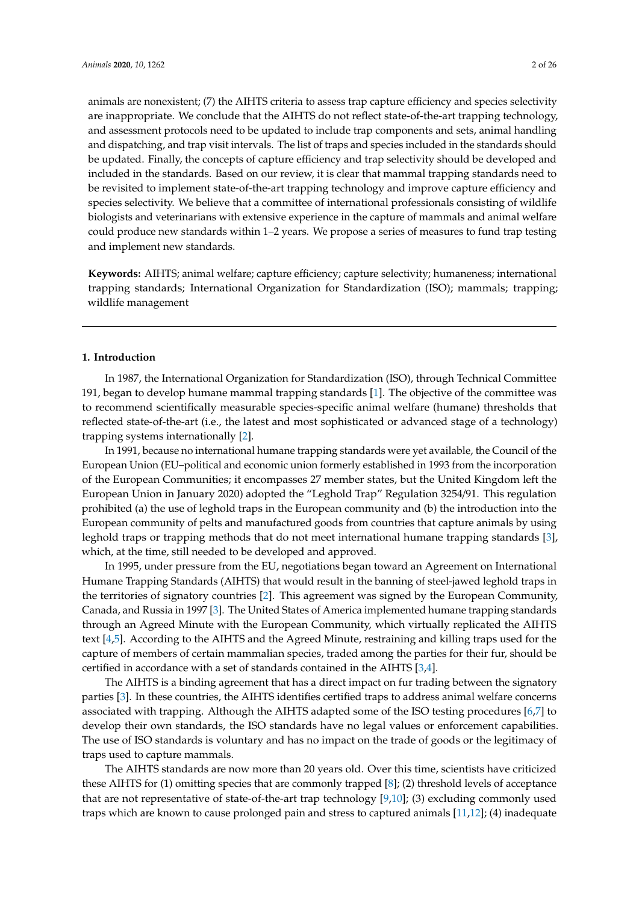animals are nonexistent; (7) the AIHTS criteria to assess trap capture efficiency and species selectivity are inappropriate. We conclude that the AIHTS do not reflect state-of-the-art trapping technology, and assessment protocols need to be updated to include trap components and sets, animal handling and dispatching, and trap visit intervals. The list of traps and species included in the standards should be updated. Finally, the concepts of capture efficiency and trap selectivity should be developed and included in the standards. Based on our review, it is clear that mammal trapping standards need to be revisited to implement state-of-the-art trapping technology and improve capture efficiency and species selectivity. We believe that a committee of international professionals consisting of wildlife biologists and veterinarians with extensive experience in the capture of mammals and animal welfare could produce new standards within 1–2 years. We propose a series of measures to fund trap testing and implement new standards.

**Keywords:** AIHTS; animal welfare; capture efficiency; capture selectivity; humaneness; international trapping standards; International Organization for Standardization (ISO); mammals; trapping; wildlife management

#### **1. Introduction**

In 1987, the International Organization for Standardization (ISO), through Technical Committee 191, began to develop humane mammal trapping standards [\[1\]](#page-19-0). The objective of the committee was to recommend scientifically measurable species-specific animal welfare (humane) thresholds that reflected state-of-the-art (i.e., the latest and most sophisticated or advanced stage of a technology) trapping systems internationally [\[2\]](#page-19-1).

In 1991, because no international humane trapping standards were yet available, the Council of the European Union (EU–political and economic union formerly established in 1993 from the incorporation of the European Communities; it encompasses 27 member states, but the United Kingdom left the European Union in January 2020) adopted the "Leghold Trap" Regulation 3254/91. This regulation prohibited (a) the use of leghold traps in the European community and (b) the introduction into the European community of pelts and manufactured goods from countries that capture animals by using leghold traps or trapping methods that do not meet international humane trapping standards [\[3\]](#page-19-2), which, at the time, still needed to be developed and approved.

In 1995, under pressure from the EU, negotiations began toward an Agreement on International Humane Trapping Standards (AIHTS) that would result in the banning of steel-jawed leghold traps in the territories of signatory countries [\[2\]](#page-19-1). This agreement was signed by the European Community, Canada, and Russia in 1997 [\[3\]](#page-19-2). The United States of America implemented humane trapping standards through an Agreed Minute with the European Community, which virtually replicated the AIHTS text [\[4](#page-19-3)[,5\]](#page-19-4). According to the AIHTS and the Agreed Minute, restraining and killing traps used for the capture of members of certain mammalian species, traded among the parties for their fur, should be certified in accordance with a set of standards contained in the AIHTS [\[3](#page-19-2)[,4\]](#page-19-3).

The AIHTS is a binding agreement that has a direct impact on fur trading between the signatory parties [\[3\]](#page-19-2). In these countries, the AIHTS identifies certified traps to address animal welfare concerns associated with trapping. Although the AIHTS adapted some of the ISO testing procedures [\[6](#page-19-5)[,7\]](#page-19-6) to develop their own standards, the ISO standards have no legal values or enforcement capabilities. The use of ISO standards is voluntary and has no impact on the trade of goods or the legitimacy of traps used to capture mammals.

The AIHTS standards are now more than 20 years old. Over this time, scientists have criticized these AIHTS for (1) omitting species that are commonly trapped [\[8\]](#page-19-7); (2) threshold levels of acceptance that are not representative of state-of-the-art trap technology [\[9](#page-19-8)[,10\]](#page-19-9); (3) excluding commonly used traps which are known to cause prolonged pain and stress to captured animals [\[11](#page-20-0)[,12\]](#page-20-1); (4) inadequate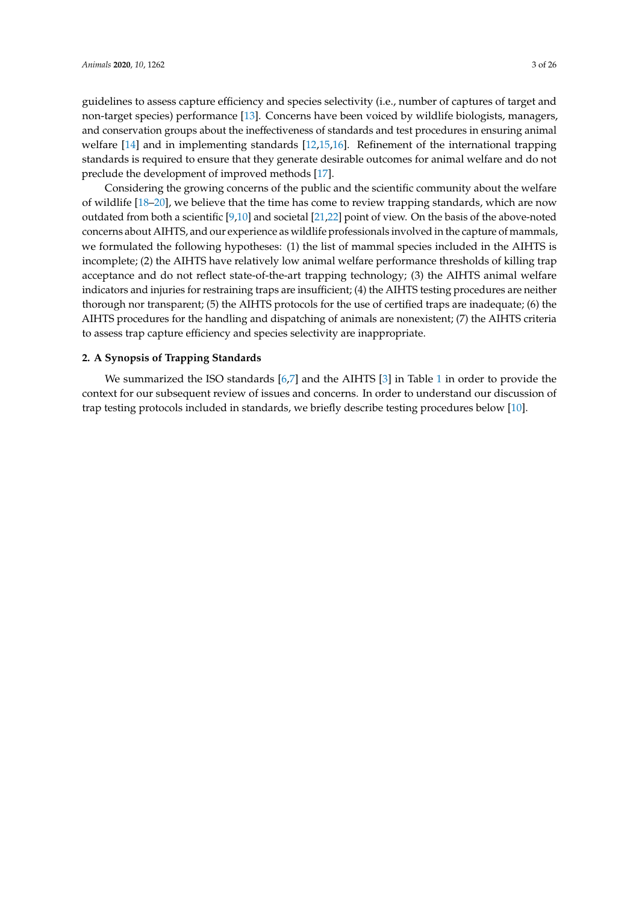guidelines to assess capture efficiency and species selectivity (i.e., number of captures of target and non-target species) performance [\[13\]](#page-20-2). Concerns have been voiced by wildlife biologists, managers, and conservation groups about the ineffectiveness of standards and test procedures in ensuring animal welfare [\[14\]](#page-20-3) and in implementing standards [\[12,](#page-20-1)[15](#page-20-4)[,16\]](#page-20-5). Refinement of the international trapping standards is required to ensure that they generate desirable outcomes for animal welfare and do not preclude the development of improved methods [\[17\]](#page-20-6).

Considering the growing concerns of the public and the scientific community about the welfare of wildlife [\[18–](#page-20-7)[20\]](#page-20-8), we believe that the time has come to review trapping standards, which are now outdated from both a scientific [\[9,](#page-19-8)[10\]](#page-19-9) and societal [\[21](#page-20-9)[,22\]](#page-20-10) point of view. On the basis of the above-noted concerns about AIHTS, and our experience as wildlife professionals involved in the capture of mammals, we formulated the following hypotheses: (1) the list of mammal species included in the AIHTS is incomplete; (2) the AIHTS have relatively low animal welfare performance thresholds of killing trap acceptance and do not reflect state-of-the-art trapping technology; (3) the AIHTS animal welfare indicators and injuries for restraining traps are insufficient; (4) the AIHTS testing procedures are neither thorough nor transparent; (5) the AIHTS protocols for the use of certified traps are inadequate; (6) the AIHTS procedures for the handling and dispatching of animals are nonexistent; (7) the AIHTS criteria to assess trap capture efficiency and species selectivity are inappropriate.

## **2. A Synopsis of Trapping Standards**

We summarized the ISO standards [\[6](#page-19-5)[,7\]](#page-19-6) and the AIHTS [\[3\]](#page-19-2) in Table [1](#page-5-0) in order to provide the context for our subsequent review of issues and concerns. In order to understand our discussion of trap testing protocols included in standards, we briefly describe testing procedures below [\[10\]](#page-19-9).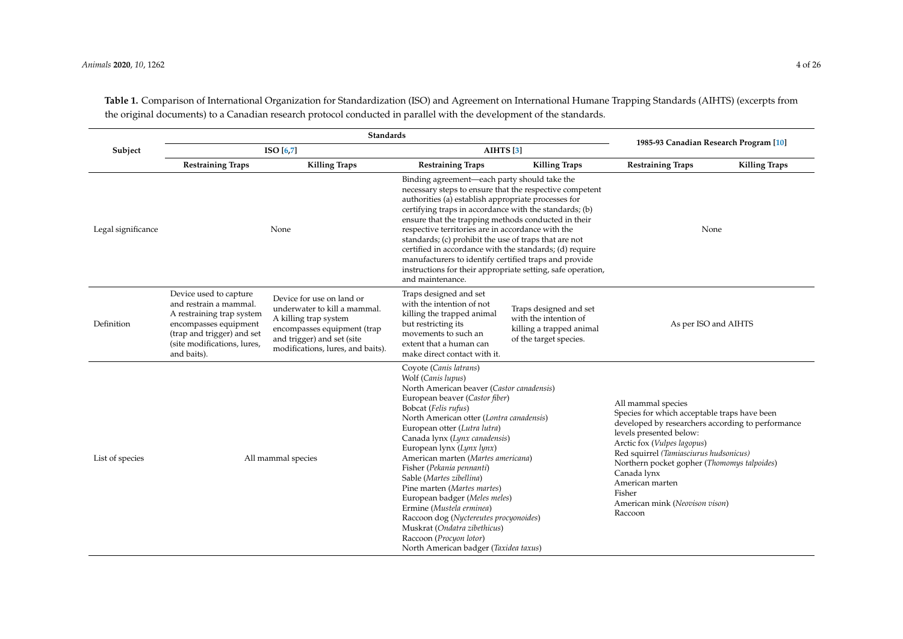#### *Animals* **2020**, *10*, 1262 4 of 26

|                    | <b>Standards</b>                                                                                                                                                                   |                                                                                                                                                                                      |                                                                                                                                                                                                                                                                                                                                                                                                                                                                                                                                                                                                                                        |                                                                                                       |                                                                                                                                                                                                                                                                                                                                                                     |                      |
|--------------------|------------------------------------------------------------------------------------------------------------------------------------------------------------------------------------|--------------------------------------------------------------------------------------------------------------------------------------------------------------------------------------|----------------------------------------------------------------------------------------------------------------------------------------------------------------------------------------------------------------------------------------------------------------------------------------------------------------------------------------------------------------------------------------------------------------------------------------------------------------------------------------------------------------------------------------------------------------------------------------------------------------------------------------|-------------------------------------------------------------------------------------------------------|---------------------------------------------------------------------------------------------------------------------------------------------------------------------------------------------------------------------------------------------------------------------------------------------------------------------------------------------------------------------|----------------------|
| Subject            | ISO[6,7]                                                                                                                                                                           |                                                                                                                                                                                      | AIHTS <sup>[3]</sup>                                                                                                                                                                                                                                                                                                                                                                                                                                                                                                                                                                                                                   |                                                                                                       | 1985-93 Canadian Research Program [10]                                                                                                                                                                                                                                                                                                                              |                      |
|                    | <b>Restraining Traps</b>                                                                                                                                                           | <b>Killing Traps</b>                                                                                                                                                                 | <b>Restraining Traps</b>                                                                                                                                                                                                                                                                                                                                                                                                                                                                                                                                                                                                               | <b>Killing Traps</b>                                                                                  | <b>Restraining Traps</b>                                                                                                                                                                                                                                                                                                                                            | <b>Killing Traps</b> |
| Legal significance |                                                                                                                                                                                    | None                                                                                                                                                                                 | Binding agreement—each party should take the<br>necessary steps to ensure that the respective competent<br>authorities (a) establish appropriate processes for<br>certifying traps in accordance with the standards; (b)<br>ensure that the trapping methods conducted in their<br>respective territories are in accordance with the<br>standards; (c) prohibit the use of traps that are not<br>certified in accordance with the standards; (d) require<br>manufacturers to identify certified traps and provide<br>instructions for their appropriate setting, safe operation,<br>and maintenance.                                   |                                                                                                       | None                                                                                                                                                                                                                                                                                                                                                                |                      |
| Definition         | Device used to capture<br>and restrain a mammal.<br>A restraining trap system<br>encompasses equipment<br>(trap and trigger) and set<br>(site modifications, lures,<br>and baits). | Device for use on land or<br>underwater to kill a mammal.<br>A killing trap system<br>encompasses equipment (trap<br>and trigger) and set (site<br>modifications, lures, and baits). | Traps designed and set<br>with the intention of not<br>killing the trapped animal<br>but restricting its<br>movements to such an<br>extent that a human can<br>make direct contact with it.                                                                                                                                                                                                                                                                                                                                                                                                                                            | Traps designed and set<br>with the intention of<br>killing a trapped animal<br>of the target species. | As per ISO and AIHTS                                                                                                                                                                                                                                                                                                                                                |                      |
| List of species    | All mammal species                                                                                                                                                                 |                                                                                                                                                                                      | Coyote (Canis latrans)<br>Wolf (Canis lupus)<br>North American beaver (Castor canadensis)<br>European beaver (Castor fiber)<br>Bobcat (Felis rufus)<br>North American otter (Lontra canadensis)<br>European otter (Lutra lutra)<br>Canada lynx (Lynx canadensis)<br>European lynx (Lynx lynx)<br>American marten (Martes americana)<br>Fisher (Pekania pennanti)<br>Sable (Martes zibellina)<br>Pine marten (Martes martes)<br>European badger (Meles meles)<br>Ermine (Mustela erminea)<br>Raccoon dog (Nyctereutes procyonoides)<br>Muskrat (Ondatra zibethicus)<br>Raccoon (Procyon lotor)<br>North American badger (Taxidea taxus) |                                                                                                       | All mammal species<br>Species for which acceptable traps have been<br>developed by researchers according to performance<br>levels presented below:<br>Arctic fox (Vulpes lagopus)<br>Red squirrel (Tamiasciurus hudsonicus)<br>Northern pocket gopher (Thomomys talpoides)<br>Canada lynx<br>American marten<br>Fisher<br>American mink (Neovison vison)<br>Raccoon |                      |

**Table 1.** Comparison of International Organization for Standardization (ISO) and Agreement on International Humane Trapping Standards (AIHTS) (excerpts from the original documents) to a Canadian research protocol conducted in parallel with the development of the standards.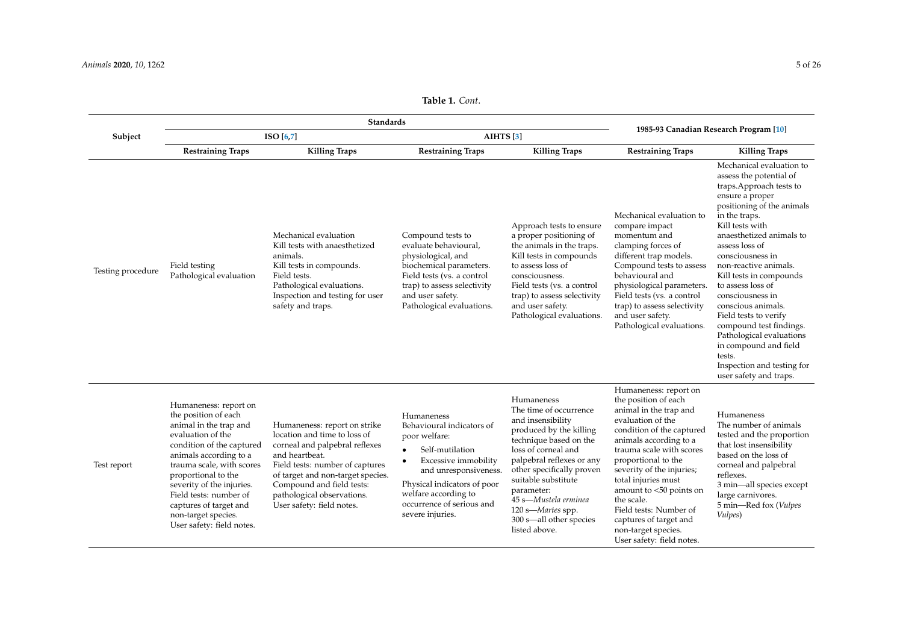| Table 1. Cont. |  |
|----------------|--|
|----------------|--|

|                   | <b>Standards</b>                                                                                                                                                                                                                                                                                                                             |                                                                                                                                                                                                                                                                                  |                                                                                                                                                                                                                                                                |                                                                                                                                                                                                                                                                                                                               |                                                                                                                                                                                                                                                                                                                                                                                                             |                                                                                                                                                                                                                                                                                                                                                                                                                                                                                                                                     |
|-------------------|----------------------------------------------------------------------------------------------------------------------------------------------------------------------------------------------------------------------------------------------------------------------------------------------------------------------------------------------|----------------------------------------------------------------------------------------------------------------------------------------------------------------------------------------------------------------------------------------------------------------------------------|----------------------------------------------------------------------------------------------------------------------------------------------------------------------------------------------------------------------------------------------------------------|-------------------------------------------------------------------------------------------------------------------------------------------------------------------------------------------------------------------------------------------------------------------------------------------------------------------------------|-------------------------------------------------------------------------------------------------------------------------------------------------------------------------------------------------------------------------------------------------------------------------------------------------------------------------------------------------------------------------------------------------------------|-------------------------------------------------------------------------------------------------------------------------------------------------------------------------------------------------------------------------------------------------------------------------------------------------------------------------------------------------------------------------------------------------------------------------------------------------------------------------------------------------------------------------------------|
| Subject           | ISO[6,7]                                                                                                                                                                                                                                                                                                                                     |                                                                                                                                                                                                                                                                                  | AIHTS <sup>[3]</sup>                                                                                                                                                                                                                                           |                                                                                                                                                                                                                                                                                                                               | 1985-93 Canadian Research Program [10]                                                                                                                                                                                                                                                                                                                                                                      |                                                                                                                                                                                                                                                                                                                                                                                                                                                                                                                                     |
|                   | <b>Restraining Traps</b>                                                                                                                                                                                                                                                                                                                     | <b>Killing Traps</b>                                                                                                                                                                                                                                                             | <b>Restraining Traps</b>                                                                                                                                                                                                                                       | <b>Killing Traps</b>                                                                                                                                                                                                                                                                                                          | <b>Restraining Traps</b>                                                                                                                                                                                                                                                                                                                                                                                    | <b>Killing Traps</b>                                                                                                                                                                                                                                                                                                                                                                                                                                                                                                                |
| Testing procedure | Field testing<br>Pathological evaluation                                                                                                                                                                                                                                                                                                     | Mechanical evaluation<br>Kill tests with anaesthetized<br>animals.<br>Kill tests in compounds.<br>Field tests.<br>Pathological evaluations.<br>Inspection and testing for user<br>safety and traps.                                                                              | Compound tests to<br>evaluate behavioural,<br>physiological, and<br>biochemical parameters.<br>Field tests (vs. a control<br>trap) to assess selectivity<br>and user safety.<br>Pathological evaluations.                                                      | Approach tests to ensure<br>a proper positioning of<br>the animals in the traps.<br>Kill tests in compounds<br>to assess loss of<br>consciousness.<br>Field tests (vs. a control<br>trap) to assess selectivity<br>and user safety.<br>Pathological evaluations.                                                              | Mechanical evaluation to<br>compare impact<br>momentum and<br>clamping forces of<br>different trap models.<br>Compound tests to assess<br>behavioural and<br>physiological parameters.<br>Field tests (vs. a control<br>trap) to assess selectivity<br>and user safety.<br>Pathological evaluations.                                                                                                        | Mechanical evaluation to<br>assess the potential of<br>traps.Approach tests to<br>ensure a proper<br>positioning of the animals<br>in the traps.<br>Kill tests with<br>anaesthetized animals to<br>assess loss of<br>consciousness in<br>non-reactive animals.<br>Kill tests in compounds<br>to assess loss of<br>consciousness in<br>conscious animals.<br>Field tests to verify<br>compound test findings.<br>Pathological evaluations<br>in compound and field<br>tests.<br>Inspection and testing for<br>user safety and traps. |
| Test report       | Humaneness: report on<br>the position of each<br>animal in the trap and<br>evaluation of the<br>condition of the captured<br>animals according to a<br>trauma scale, with scores<br>proportional to the<br>severity of the injuries.<br>Field tests: number of<br>captures of target and<br>non-target species.<br>User safety: field notes. | Humaneness: report on strike<br>location and time to loss of<br>corneal and palpebral reflexes<br>and heartbeat.<br>Field tests: number of captures<br>of target and non-target species.<br>Compound and field tests:<br>pathological observations.<br>User safety: field notes. | Humaneness<br>Behavioural indicators of<br>poor welfare:<br>Self-mutilation<br>$\bullet$<br>Excessive immobility<br>$\bullet$<br>and unresponsiveness.<br>Physical indicators of poor<br>welfare according to<br>occurrence of serious and<br>severe injuries. | Humaneness<br>The time of occurrence<br>and insensibility<br>produced by the killing<br>technique based on the<br>loss of corneal and<br>palpebral reflexes or any<br>other specifically proven<br>suitable substitute<br>parameter:<br>45 s-Mustela erminea<br>120 s-Martes spp.<br>300 s-all other species<br>listed above. | Humaneness: report on<br>the position of each<br>animal in the trap and<br>evaluation of the<br>condition of the captured<br>animals according to a<br>trauma scale with scores<br>proportional to the<br>severity of the injuries;<br>total injuries must<br>amount to <50 points on<br>the scale.<br>Field tests: Number of<br>captures of target and<br>non-target species.<br>User safety: field notes. | Humaneness<br>The number of animals<br>tested and the proportion<br>that lost insensibility<br>based on the loss of<br>corneal and palpebral<br>reflexes.<br>3 min-all species except<br>large carnivores.<br>5 min-Red fox (Vulpes<br>Vulpes)                                                                                                                                                                                                                                                                                      |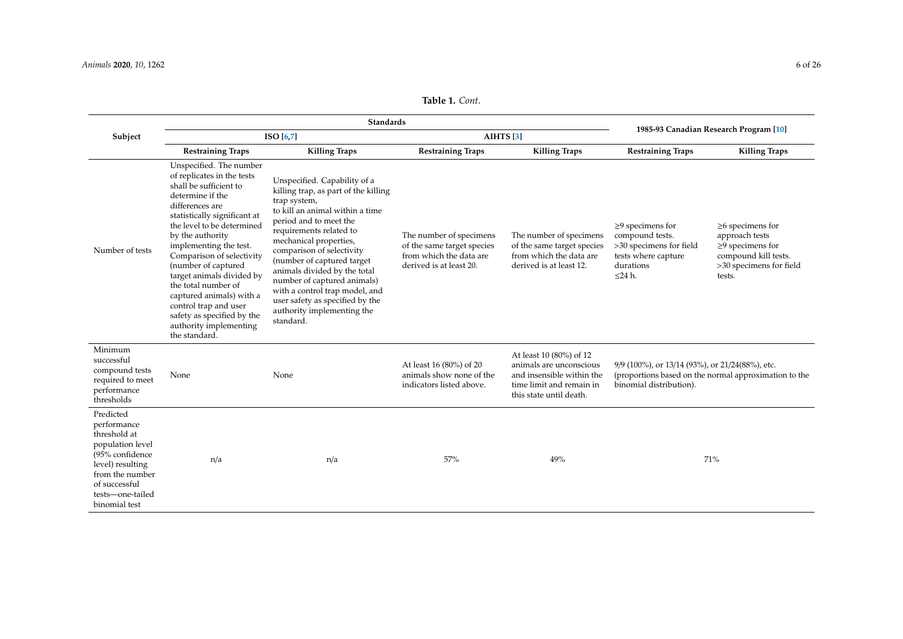<span id="page-5-0"></span>

|                                                                                                                                                                              | <b>Standards</b>                                                                                                                                                                                                                                                                                                                                                                                                                                                         |                                                                                                                                                                                                                                                                                                                                                                                                                                                  |                                                                                                             |                                                                                                                                        | 1985-93 Canadian Research Program [10]                                                                                              |                                                                                                                                 |
|------------------------------------------------------------------------------------------------------------------------------------------------------------------------------|--------------------------------------------------------------------------------------------------------------------------------------------------------------------------------------------------------------------------------------------------------------------------------------------------------------------------------------------------------------------------------------------------------------------------------------------------------------------------|--------------------------------------------------------------------------------------------------------------------------------------------------------------------------------------------------------------------------------------------------------------------------------------------------------------------------------------------------------------------------------------------------------------------------------------------------|-------------------------------------------------------------------------------------------------------------|----------------------------------------------------------------------------------------------------------------------------------------|-------------------------------------------------------------------------------------------------------------------------------------|---------------------------------------------------------------------------------------------------------------------------------|
| Subject                                                                                                                                                                      | ISO[6,7]                                                                                                                                                                                                                                                                                                                                                                                                                                                                 |                                                                                                                                                                                                                                                                                                                                                                                                                                                  | AIHTS <sup>[3]</sup>                                                                                        |                                                                                                                                        |                                                                                                                                     |                                                                                                                                 |
|                                                                                                                                                                              | <b>Restraining Traps</b>                                                                                                                                                                                                                                                                                                                                                                                                                                                 | <b>Killing Traps</b>                                                                                                                                                                                                                                                                                                                                                                                                                             | <b>Restraining Traps</b>                                                                                    | <b>Killing Traps</b>                                                                                                                   | <b>Restraining Traps</b>                                                                                                            | <b>Killing Traps</b>                                                                                                            |
| Number of tests                                                                                                                                                              | Unspecified. The number<br>of replicates in the tests<br>shall be sufficient to<br>determine if the<br>differences are<br>statistically significant at<br>the level to be determined<br>by the authority<br>implementing the test.<br>Comparison of selectivity<br>(number of captured<br>target animals divided by<br>the total number of<br>captured animals) with a<br>control trap and user<br>safety as specified by the<br>authority implementing<br>the standard. | Unspecified. Capability of a<br>killing trap, as part of the killing<br>trap system,<br>to kill an animal within a time<br>period and to meet the<br>requirements related to<br>mechanical properties,<br>comparison of selectivity<br>(number of captured target<br>animals divided by the total<br>number of captured animals)<br>with a control trap model, and<br>user safety as specified by the<br>authority implementing the<br>standard. | The number of specimens<br>of the same target species<br>from which the data are<br>derived is at least 20. | The number of specimens<br>of the same target species<br>from which the data are<br>derived is at least 12.                            | $\geq$ 9 specimens for<br>compound tests.<br>>30 specimens for field<br>tests where capture<br>durations<br>$<$ 24 h.               | $\geq$ 6 specimens for<br>approach tests<br>$\geq$ 9 specimens for<br>compound kill tests.<br>>30 specimens for field<br>tests. |
| Minimum<br>successful<br>compound tests<br>required to meet<br>performance<br>thresholds                                                                                     | None                                                                                                                                                                                                                                                                                                                                                                                                                                                                     | None                                                                                                                                                                                                                                                                                                                                                                                                                                             | At least 16 (80%) of 20<br>animals show none of the<br>indicators listed above.                             | At least 10 (80%) of 12<br>animals are unconscious<br>and insensible within the<br>time limit and remain in<br>this state until death. | 9/9 (100%), or 13/14 (93%), or 21/24(88%), etc.<br>(proportions based on the normal approximation to the<br>binomial distribution). |                                                                                                                                 |
| Predicted<br>performance<br>threshold at<br>population level<br>(95% confidence<br>level) resulting<br>from the number<br>of successful<br>tests-one-tailed<br>binomial test | n/a                                                                                                                                                                                                                                                                                                                                                                                                                                                                      | n/a                                                                                                                                                                                                                                                                                                                                                                                                                                              | 57%                                                                                                         | 49%                                                                                                                                    |                                                                                                                                     | 71%                                                                                                                             |

## **Table 1.** *Cont*.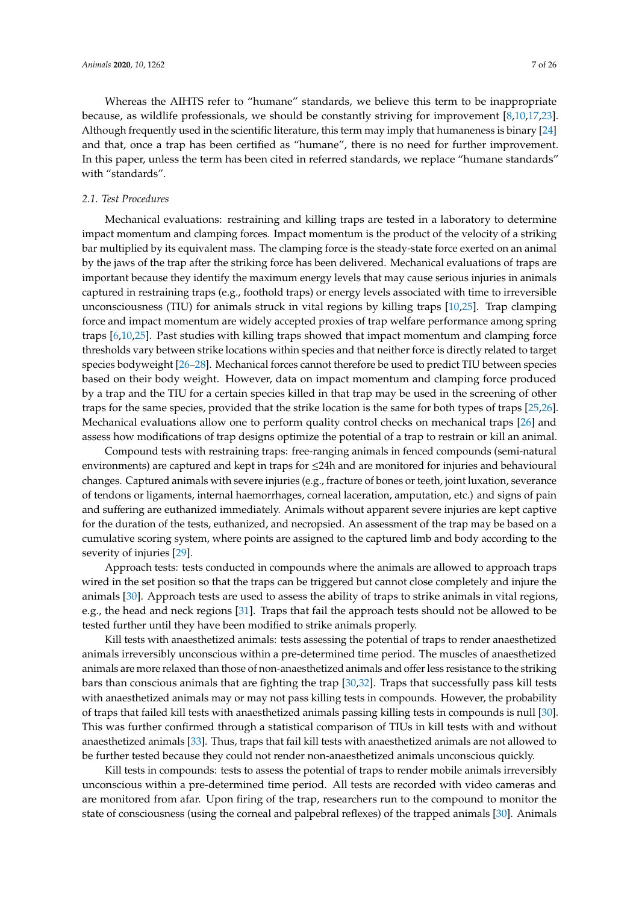Whereas the AIHTS refer to "humane" standards, we believe this term to be inappropriate because, as wildlife professionals, we should be constantly striving for improvement [\[8,](#page-19-7)[10,](#page-19-9)[17,](#page-20-6)[23\]](#page-20-11). Although frequently used in the scientific literature, this term may imply that humaneness is binary [\[24\]](#page-20-12) and that, once a trap has been certified as "humane", there is no need for further improvement. In this paper, unless the term has been cited in referred standards, we replace "humane standards" with "standards".

#### *2.1. Test Procedures*

Mechanical evaluations: restraining and killing traps are tested in a laboratory to determine impact momentum and clamping forces. Impact momentum is the product of the velocity of a striking bar multiplied by its equivalent mass. The clamping force is the steady-state force exerted on an animal by the jaws of the trap after the striking force has been delivered. Mechanical evaluations of traps are important because they identify the maximum energy levels that may cause serious injuries in animals captured in restraining traps (e.g., foothold traps) or energy levels associated with time to irreversible unconsciousness (TIU) for animals struck in vital regions by killing traps [\[10,](#page-19-9)[25\]](#page-20-13). Trap clamping force and impact momentum are widely accepted proxies of trap welfare performance among spring traps [\[6,](#page-19-5)[10,](#page-19-9)[25\]](#page-20-13). Past studies with killing traps showed that impact momentum and clamping force thresholds vary between strike locations within species and that neither force is directly related to target species bodyweight [\[26–](#page-20-14)[28\]](#page-20-15). Mechanical forces cannot therefore be used to predict TIU between species based on their body weight. However, data on impact momentum and clamping force produced by a trap and the TIU for a certain species killed in that trap may be used in the screening of other traps for the same species, provided that the strike location is the same for both types of traps [\[25,](#page-20-13)[26\]](#page-20-14). Mechanical evaluations allow one to perform quality control checks on mechanical traps [\[26\]](#page-20-14) and assess how modifications of trap designs optimize the potential of a trap to restrain or kill an animal.

Compound tests with restraining traps: free-ranging animals in fenced compounds (semi-natural environments) are captured and kept in traps for ≤24h and are monitored for injuries and behavioural changes. Captured animals with severe injuries (e.g., fracture of bones or teeth, joint luxation, severance of tendons or ligaments, internal haemorrhages, corneal laceration, amputation, etc.) and signs of pain and suffering are euthanized immediately. Animals without apparent severe injuries are kept captive for the duration of the tests, euthanized, and necropsied. An assessment of the trap may be based on a cumulative scoring system, where points are assigned to the captured limb and body according to the severity of injuries [\[29\]](#page-20-16).

Approach tests: tests conducted in compounds where the animals are allowed to approach traps wired in the set position so that the traps can be triggered but cannot close completely and injure the animals [\[30\]](#page-20-17). Approach tests are used to assess the ability of traps to strike animals in vital regions, e.g., the head and neck regions [\[31\]](#page-20-18). Traps that fail the approach tests should not be allowed to be tested further until they have been modified to strike animals properly.

Kill tests with anaesthetized animals: tests assessing the potential of traps to render anaesthetized animals irreversibly unconscious within a pre-determined time period. The muscles of anaesthetized animals are more relaxed than those of non-anaesthetized animals and offer less resistance to the striking bars than conscious animals that are fighting the trap [\[30](#page-20-17)[,32\]](#page-20-19). Traps that successfully pass kill tests with anaesthetized animals may or may not pass killing tests in compounds. However, the probability of traps that failed kill tests with anaesthetized animals passing killing tests in compounds is null [\[30\]](#page-20-17). This was further confirmed through a statistical comparison of TIUs in kill tests with and without anaesthetized animals [\[33\]](#page-20-20). Thus, traps that fail kill tests with anaesthetized animals are not allowed to be further tested because they could not render non-anaesthetized animals unconscious quickly.

Kill tests in compounds: tests to assess the potential of traps to render mobile animals irreversibly unconscious within a pre-determined time period. All tests are recorded with video cameras and are monitored from afar. Upon firing of the trap, researchers run to the compound to monitor the state of consciousness (using the corneal and palpebral reflexes) of the trapped animals [\[30\]](#page-20-17). Animals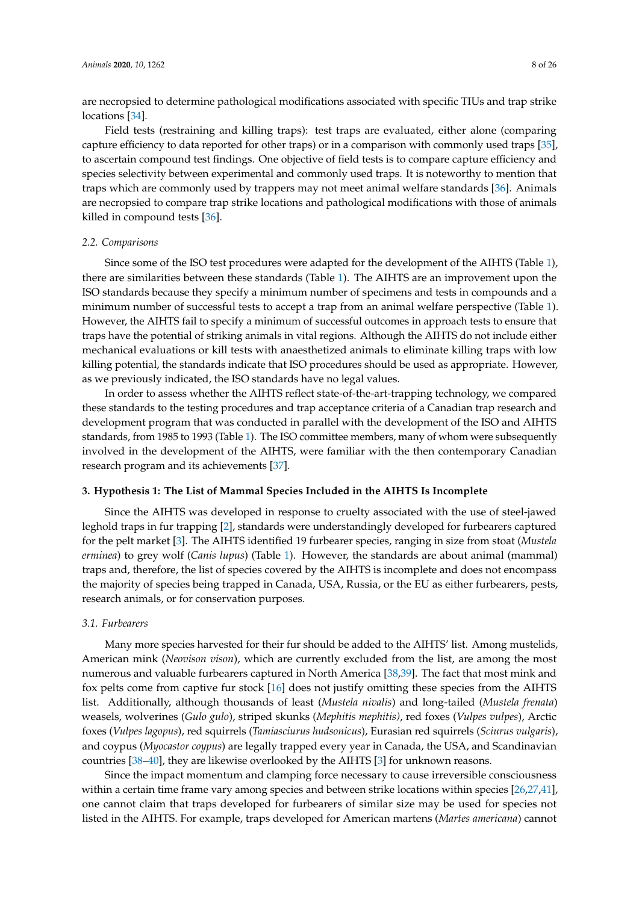are necropsied to determine pathological modifications associated with specific TIUs and trap strike locations [\[34\]](#page-20-21).

Field tests (restraining and killing traps): test traps are evaluated, either alone (comparing capture efficiency to data reported for other traps) or in a comparison with commonly used traps [\[35\]](#page-21-0), to ascertain compound test findings. One objective of field tests is to compare capture efficiency and species selectivity between experimental and commonly used traps. It is noteworthy to mention that traps which are commonly used by trappers may not meet animal welfare standards [\[36\]](#page-21-1). Animals are necropsied to compare trap strike locations and pathological modifications with those of animals killed in compound tests [\[36\]](#page-21-1).

#### *2.2. Comparisons*

Since some of the ISO test procedures were adapted for the development of the AIHTS (Table [1\)](#page-5-0), there are similarities between these standards (Table [1\)](#page-5-0). The AIHTS are an improvement upon the ISO standards because they specify a minimum number of specimens and tests in compounds and a minimum number of successful tests to accept a trap from an animal welfare perspective (Table [1\)](#page-5-0). However, the AIHTS fail to specify a minimum of successful outcomes in approach tests to ensure that traps have the potential of striking animals in vital regions. Although the AIHTS do not include either mechanical evaluations or kill tests with anaesthetized animals to eliminate killing traps with low killing potential, the standards indicate that ISO procedures should be used as appropriate. However, as we previously indicated, the ISO standards have no legal values.

In order to assess whether the AIHTS reflect state-of-the-art-trapping technology, we compared these standards to the testing procedures and trap acceptance criteria of a Canadian trap research and development program that was conducted in parallel with the development of the ISO and AIHTS standards, from 1985 to 1993 (Table [1\)](#page-5-0). The ISO committee members, many of whom were subsequently involved in the development of the AIHTS, were familiar with the then contemporary Canadian research program and its achievements [\[37\]](#page-21-2).

## **3. Hypothesis 1: The List of Mammal Species Included in the AIHTS Is Incomplete**

Since the AIHTS was developed in response to cruelty associated with the use of steel-jawed leghold traps in fur trapping [\[2\]](#page-19-1), standards were understandingly developed for furbearers captured for the pelt market [\[3\]](#page-19-2). The AIHTS identified 19 furbearer species, ranging in size from stoat (*Mustela erminea*) to grey wolf (*Canis lupus*) (Table [1\)](#page-5-0). However, the standards are about animal (mammal) traps and, therefore, the list of species covered by the AIHTS is incomplete and does not encompass the majority of species being trapped in Canada, USA, Russia, or the EU as either furbearers, pests, research animals, or for conservation purposes.

## *3.1. Furbearers*

Many more species harvested for their fur should be added to the AIHTS' list. Among mustelids, American mink (*Neovison vison*), which are currently excluded from the list, are among the most numerous and valuable furbearers captured in North America [\[38](#page-21-3)[,39\]](#page-21-4). The fact that most mink and fox pelts come from captive fur stock [\[16\]](#page-20-5) does not justify omitting these species from the AIHTS list. Additionally, although thousands of least (*Mustela nivalis*) and long-tailed (*Mustela frenata*) weasels, wolverines (*Gulo gulo*), striped skunks (*Mephitis mephitis)*, red foxes (*Vulpes vulpes*), Arctic foxes (*Vulpes lagopus*), red squirrels (*Tamiasciurus hudsonicus*), Eurasian red squirrels (*Sciurus vulgaris*), and coypus (*Myocastor coypus*) are legally trapped every year in Canada, the USA, and Scandinavian countries [\[38](#page-21-3)[–40\]](#page-21-5), they are likewise overlooked by the AIHTS [\[3\]](#page-19-2) for unknown reasons.

Since the impact momentum and clamping force necessary to cause irreversible consciousness within a certain time frame vary among species and between strike locations within species [\[26](#page-20-14)[,27](#page-20-22)[,41\]](#page-21-6), one cannot claim that traps developed for furbearers of similar size may be used for species not listed in the AIHTS. For example, traps developed for American martens (*Martes americana*) cannot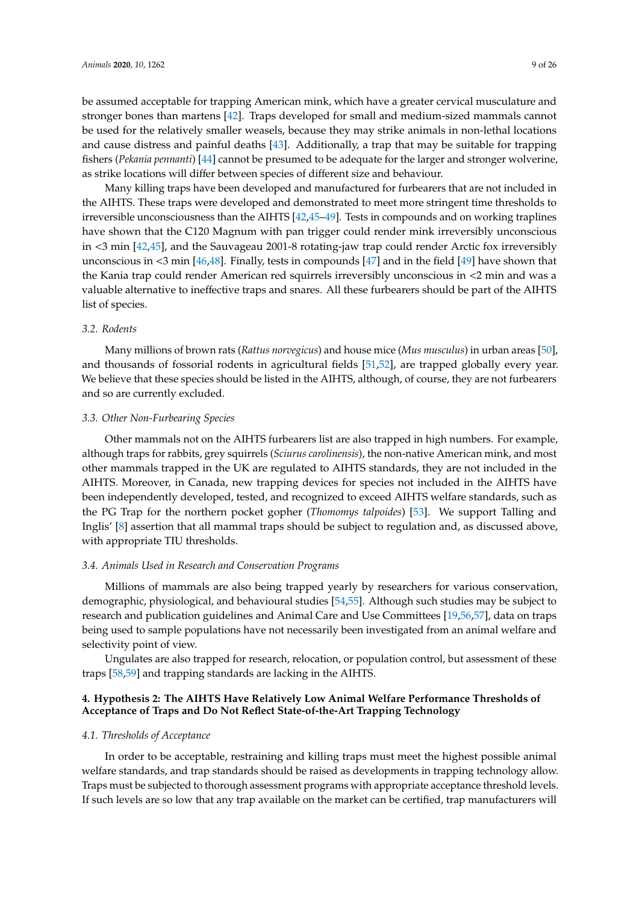be assumed acceptable for trapping American mink, which have a greater cervical musculature and stronger bones than martens [\[42\]](#page-21-7). Traps developed for small and medium-sized mammals cannot be used for the relatively smaller weasels, because they may strike animals in non-lethal locations and cause distress and painful deaths [\[43\]](#page-21-8). Additionally, a trap that may be suitable for trapping fishers (*Pekania pennanti*) [\[44\]](#page-21-9) cannot be presumed to be adequate for the larger and stronger wolverine, as strike locations will differ between species of different size and behaviour.

Many killing traps have been developed and manufactured for furbearers that are not included in the AIHTS. These traps were developed and demonstrated to meet more stringent time thresholds to irreversible unconsciousness than the AIHTS [\[42,](#page-21-7)[45–](#page-21-10)[49\]](#page-21-11). Tests in compounds and on working traplines have shown that the C120 Magnum with pan trigger could render mink irreversibly unconscious in <3 min [\[42](#page-21-7)[,45\]](#page-21-10), and the Sauvageau 2001-8 rotating-jaw trap could render Arctic fox irreversibly unconscious in <3 min [\[46](#page-21-12)[,48\]](#page-21-13). Finally, tests in compounds [\[47\]](#page-21-14) and in the field [\[49\]](#page-21-11) have shown that the Kania trap could render American red squirrels irreversibly unconscious in <2 min and was a valuable alternative to ineffective traps and snares. All these furbearers should be part of the AIHTS list of species.

#### *3.2. Rodents*

Many millions of brown rats (*Rattus norvegicus*) and house mice (*Mus musculus*) in urban areas [\[50\]](#page-21-15), and thousands of fossorial rodents in agricultural fields [\[51,](#page-21-16)[52\]](#page-21-17), are trapped globally every year. We believe that these species should be listed in the AIHTS, although, of course, they are not furbearers and so are currently excluded.

#### *3.3. Other Non-Furbearing Species*

Other mammals not on the AIHTS furbearers list are also trapped in high numbers. For example, although traps for rabbits, grey squirrels (*Sciurus carolinensis*), the non-native American mink, and most other mammals trapped in the UK are regulated to AIHTS standards, they are not included in the AIHTS. Moreover, in Canada, new trapping devices for species not included in the AIHTS have been independently developed, tested, and recognized to exceed AIHTS welfare standards, such as the PG Trap for the northern pocket gopher (*Thomomys talpoides*) [\[53\]](#page-21-18). We support Talling and Inglis' [\[8\]](#page-19-7) assertion that all mammal traps should be subject to regulation and, as discussed above, with appropriate TIU thresholds.

#### *3.4. Animals Used in Research and Conservation Programs*

Millions of mammals are also being trapped yearly by researchers for various conservation, demographic, physiological, and behavioural studies [\[54](#page-21-19)[,55\]](#page-21-20). Although such studies may be subject to research and publication guidelines and Animal Care and Use Committees [\[19,](#page-20-23)[56,](#page-21-21)[57\]](#page-21-22), data on traps being used to sample populations have not necessarily been investigated from an animal welfare and selectivity point of view.

Ungulates are also trapped for research, relocation, or population control, but assessment of these traps [\[58,](#page-21-23)[59\]](#page-22-0) and trapping standards are lacking in the AIHTS.

## **4. Hypothesis 2: The AIHTS Have Relatively Low Animal Welfare Performance Thresholds of Acceptance of Traps and Do Not Reflect State-of-the-Art Trapping Technology**

## *4.1. Thresholds of Acceptance*

In order to be acceptable, restraining and killing traps must meet the highest possible animal welfare standards, and trap standards should be raised as developments in trapping technology allow. Traps must be subjected to thorough assessment programs with appropriate acceptance threshold levels. If such levels are so low that any trap available on the market can be certified, trap manufacturers will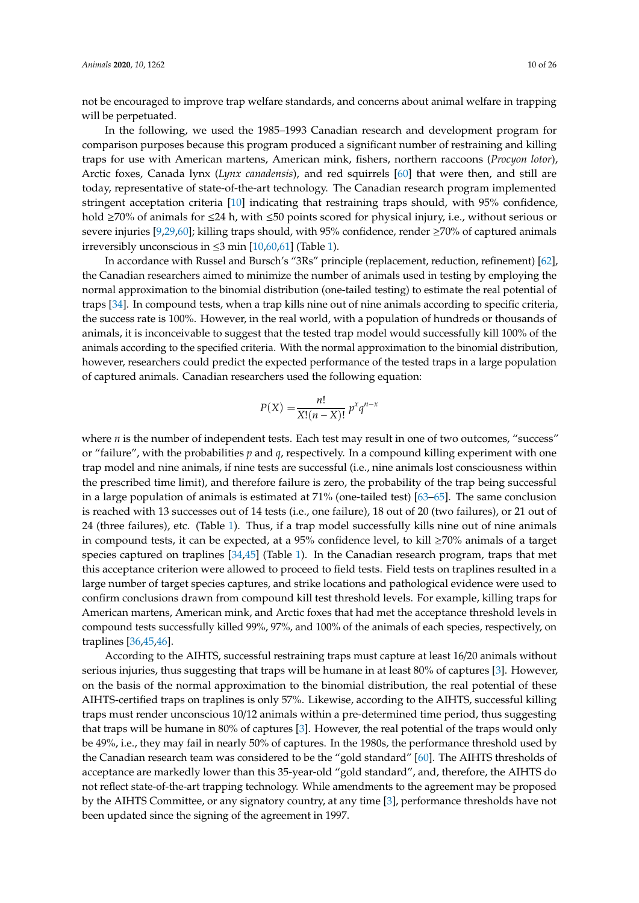not be encouraged to improve trap welfare standards, and concerns about animal welfare in trapping will be perpetuated.

In the following, we used the 1985–1993 Canadian research and development program for comparison purposes because this program produced a significant number of restraining and killing traps for use with American martens, American mink, fishers, northern raccoons (*Procyon lotor*), Arctic foxes, Canada lynx (*Lynx canadensis*), and red squirrels [\[60\]](#page-22-1) that were then, and still are today, representative of state-of-the-art technology. The Canadian research program implemented stringent acceptation criteria [\[10\]](#page-19-9) indicating that restraining traps should, with 95% confidence, hold ≥70% of animals for ≤24 h, with ≤50 points scored for physical injury, i.e., without serious or severe injuries [\[9](#page-19-8)[,29,](#page-20-16)[60\]](#page-22-1); killing traps should, with 95% confidence, render ≥70% of captured animals irreversibly unconscious in  $\leq$ 3 min [\[10,](#page-19-9)[60,](#page-22-1)[61\]](#page-22-2) (Table [1\)](#page-5-0).

In accordance with Russel and Bursch's "3Rs" principle (replacement, reduction, refinement) [\[62\]](#page-22-3), the Canadian researchers aimed to minimize the number of animals used in testing by employing the normal approximation to the binomial distribution (one-tailed testing) to estimate the real potential of traps [\[34\]](#page-20-21). In compound tests, when a trap kills nine out of nine animals according to specific criteria, the success rate is 100%. However, in the real world, with a population of hundreds or thousands of animals, it is inconceivable to suggest that the tested trap model would successfully kill 100% of the animals according to the specified criteria. With the normal approximation to the binomial distribution, however, researchers could predict the expected performance of the tested traps in a large population of captured animals. Canadian researchers used the following equation:

$$
P(X) = \frac{n!}{X!(n-X)!} p^x q^{n-x}
$$

where *n* is the number of independent tests. Each test may result in one of two outcomes, "success" or "failure", with the probabilities *p* and *q*, respectively. In a compound killing experiment with one trap model and nine animals, if nine tests are successful (i.e., nine animals lost consciousness within the prescribed time limit), and therefore failure is zero, the probability of the trap being successful in a large population of animals is estimated at 71% (one-tailed test) [\[63](#page-22-4)[–65\]](#page-22-5). The same conclusion is reached with 13 successes out of 14 tests (i.e., one failure), 18 out of 20 (two failures), or 21 out of 24 (three failures), etc. (Table [1\)](#page-5-0). Thus, if a trap model successfully kills nine out of nine animals in compound tests, it can be expected, at a 95% confidence level, to kill ≥70% animals of a target species captured on traplines [\[34](#page-20-21)[,45\]](#page-21-10) (Table [1\)](#page-5-0). In the Canadian research program, traps that met this acceptance criterion were allowed to proceed to field tests. Field tests on traplines resulted in a large number of target species captures, and strike locations and pathological evidence were used to confirm conclusions drawn from compound kill test threshold levels. For example, killing traps for American martens, American mink, and Arctic foxes that had met the acceptance threshold levels in compound tests successfully killed 99%, 97%, and 100% of the animals of each species, respectively, on traplines [\[36,](#page-21-1)[45](#page-21-10)[,46\]](#page-21-12).

According to the AIHTS, successful restraining traps must capture at least 16/20 animals without serious injuries, thus suggesting that traps will be humane in at least 80% of captures [\[3\]](#page-19-2). However, on the basis of the normal approximation to the binomial distribution, the real potential of these AIHTS-certified traps on traplines is only 57%. Likewise, according to the AIHTS, successful killing traps must render unconscious 10/12 animals within a pre-determined time period, thus suggesting that traps will be humane in 80% of captures [\[3\]](#page-19-2). However, the real potential of the traps would only be 49%, i.e., they may fail in nearly 50% of captures. In the 1980s, the performance threshold used by the Canadian research team was considered to be the "gold standard" [\[60\]](#page-22-1). The AIHTS thresholds of acceptance are markedly lower than this 35-year-old "gold standard", and, therefore, the AIHTS do not reflect state-of-the-art trapping technology. While amendments to the agreement may be proposed by the AIHTS Committee, or any signatory country, at any time [\[3\]](#page-19-2), performance thresholds have not been updated since the signing of the agreement in 1997.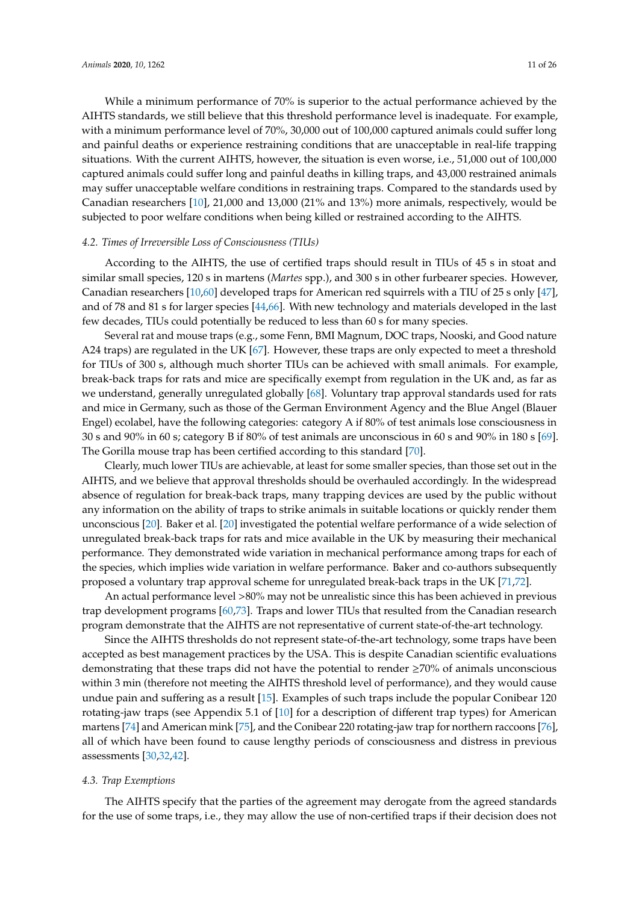While a minimum performance of 70% is superior to the actual performance achieved by the AIHTS standards, we still believe that this threshold performance level is inadequate. For example, with a minimum performance level of 70%, 30,000 out of 100,000 captured animals could suffer long and painful deaths or experience restraining conditions that are unacceptable in real-life trapping situations. With the current AIHTS, however, the situation is even worse, i.e., 51,000 out of 100,000 captured animals could suffer long and painful deaths in killing traps, and 43,000 restrained animals may suffer unacceptable welfare conditions in restraining traps. Compared to the standards used by Canadian researchers [\[10\]](#page-19-9), 21,000 and 13,000 (21% and 13%) more animals, respectively, would be subjected to poor welfare conditions when being killed or restrained according to the AIHTS.

#### *4.2. Times of Irreversible Loss of Consciousness (TIUs)*

According to the AIHTS, the use of certified traps should result in TIUs of 45 s in stoat and similar small species, 120 s in martens (*Martes* spp.), and 300 s in other furbearer species. However, Canadian researchers [\[10](#page-19-9)[,60\]](#page-22-1) developed traps for American red squirrels with a TIU of 25 s only [\[47\]](#page-21-14), and of 78 and 81 s for larger species [\[44,](#page-21-9)[66\]](#page-22-6). With new technology and materials developed in the last few decades, TIUs could potentially be reduced to less than 60 s for many species.

Several rat and mouse traps (e.g., some Fenn, BMI Magnum, DOC traps, Nooski, and Good nature A24 traps) are regulated in the UK [\[67\]](#page-22-7). However, these traps are only expected to meet a threshold for TIUs of 300 s, although much shorter TIUs can be achieved with small animals. For example, break-back traps for rats and mice are specifically exempt from regulation in the UK and, as far as we understand, generally unregulated globally [\[68\]](#page-22-8). Voluntary trap approval standards used for rats and mice in Germany, such as those of the German Environment Agency and the Blue Angel (Blauer Engel) ecolabel, have the following categories: category A if 80% of test animals lose consciousness in 30 s and 90% in 60 s; category B if 80% of test animals are unconscious in 60 s and 90% in 180 s [\[69\]](#page-22-9). The Gorilla mouse trap has been certified according to this standard [\[70\]](#page-22-10).

Clearly, much lower TIUs are achievable, at least for some smaller species, than those set out in the AIHTS, and we believe that approval thresholds should be overhauled accordingly. In the widespread absence of regulation for break-back traps, many trapping devices are used by the public without any information on the ability of traps to strike animals in suitable locations or quickly render them unconscious [\[20\]](#page-20-8). Baker et al. [\[20\]](#page-20-8) investigated the potential welfare performance of a wide selection of unregulated break-back traps for rats and mice available in the UK by measuring their mechanical performance. They demonstrated wide variation in mechanical performance among traps for each of the species, which implies wide variation in welfare performance. Baker and co-authors subsequently proposed a voluntary trap approval scheme for unregulated break-back traps in the UK [\[71](#page-22-11)[,72\]](#page-22-12).

An actual performance level >80% may not be unrealistic since this has been achieved in previous trap development programs [\[60](#page-22-1)[,73\]](#page-22-13). Traps and lower TIUs that resulted from the Canadian research program demonstrate that the AIHTS are not representative of current state-of-the-art technology.

Since the AIHTS thresholds do not represent state-of-the-art technology, some traps have been accepted as best management practices by the USA. This is despite Canadian scientific evaluations demonstrating that these traps did not have the potential to render ≥70% of animals unconscious within 3 min (therefore not meeting the AIHTS threshold level of performance), and they would cause undue pain and suffering as a result [\[15\]](#page-20-4). Examples of such traps include the popular Conibear 120 rotating-jaw traps (see Appendix 5.1 of [\[10\]](#page-19-9) for a description of different trap types) for American martens [\[74\]](#page-22-14) and American mink [\[75\]](#page-22-15), and the Conibear 220 rotating-jaw trap for northern raccoons [\[76\]](#page-22-16), all of which have been found to cause lengthy periods of consciousness and distress in previous assessments [\[30](#page-20-17)[,32,](#page-20-19)[42\]](#page-21-7).

## *4.3. Trap Exemptions*

The AIHTS specify that the parties of the agreement may derogate from the agreed standards for the use of some traps, i.e., they may allow the use of non-certified traps if their decision does not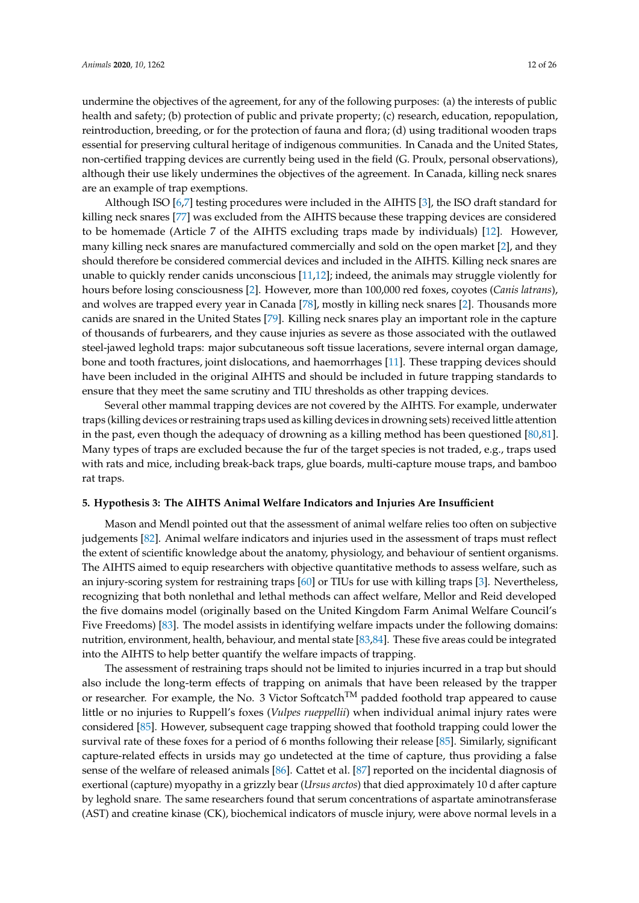undermine the objectives of the agreement, for any of the following purposes: (a) the interests of public health and safety; (b) protection of public and private property; (c) research, education, repopulation, reintroduction, breeding, or for the protection of fauna and flora; (d) using traditional wooden traps essential for preserving cultural heritage of indigenous communities. In Canada and the United States, non-certified trapping devices are currently being used in the field (G. Proulx, personal observations), although their use likely undermines the objectives of the agreement. In Canada, killing neck snares are an example of trap exemptions.

Although ISO [\[6,](#page-19-5)[7\]](#page-19-6) testing procedures were included in the AIHTS [\[3\]](#page-19-2), the ISO draft standard for killing neck snares [\[77\]](#page-22-17) was excluded from the AIHTS because these trapping devices are considered to be homemade (Article 7 of the AIHTS excluding traps made by individuals) [\[12\]](#page-20-1). However, many killing neck snares are manufactured commercially and sold on the open market [\[2\]](#page-19-1), and they should therefore be considered commercial devices and included in the AIHTS. Killing neck snares are unable to quickly render canids unconscious [\[11,](#page-20-0)[12\]](#page-20-1); indeed, the animals may struggle violently for hours before losing consciousness [\[2\]](#page-19-1). However, more than 100,000 red foxes, coyotes (*Canis latrans*), and wolves are trapped every year in Canada [\[78\]](#page-22-18), mostly in killing neck snares [\[2\]](#page-19-1). Thousands more canids are snared in the United States [\[79\]](#page-22-19). Killing neck snares play an important role in the capture of thousands of furbearers, and they cause injuries as severe as those associated with the outlawed steel-jawed leghold traps: major subcutaneous soft tissue lacerations, severe internal organ damage, bone and tooth fractures, joint dislocations, and haemorrhages [\[11\]](#page-20-0). These trapping devices should have been included in the original AIHTS and should be included in future trapping standards to ensure that they meet the same scrutiny and TIU thresholds as other trapping devices.

Several other mammal trapping devices are not covered by the AIHTS. For example, underwater traps (killing devices or restraining traps used as killing devices in drowning sets) received little attention in the past, even though the adequacy of drowning as a killing method has been questioned [\[80,](#page-22-20)[81\]](#page-22-21). Many types of traps are excluded because the fur of the target species is not traded, e.g., traps used with rats and mice, including break-back traps, glue boards, multi-capture mouse traps, and bamboo rat traps.

## **5. Hypothesis 3: The AIHTS Animal Welfare Indicators and Injuries Are Insu**ffi**cient**

Mason and Mendl pointed out that the assessment of animal welfare relies too often on subjective judgements [\[82\]](#page-22-22). Animal welfare indicators and injuries used in the assessment of traps must reflect the extent of scientific knowledge about the anatomy, physiology, and behaviour of sentient organisms. The AIHTS aimed to equip researchers with objective quantitative methods to assess welfare, such as an injury-scoring system for restraining traps [\[60\]](#page-22-1) or TIUs for use with killing traps [\[3\]](#page-19-2). Nevertheless, recognizing that both nonlethal and lethal methods can affect welfare, Mellor and Reid developed the five domains model (originally based on the United Kingdom Farm Animal Welfare Council's Five Freedoms) [\[83\]](#page-22-23). The model assists in identifying welfare impacts under the following domains: nutrition, environment, health, behaviour, and mental state [\[83](#page-22-23)[,84\]](#page-23-0). These five areas could be integrated into the AIHTS to help better quantify the welfare impacts of trapping.

The assessment of restraining traps should not be limited to injuries incurred in a trap but should also include the long-term effects of trapping on animals that have been released by the trapper or researcher. For example, the No. 3 Victor Softcatch<sup>TM</sup> padded foothold trap appeared to cause little or no injuries to Ruppell's foxes (*Vulpes rueppellii*) when individual animal injury rates were considered [\[85\]](#page-23-1). However, subsequent cage trapping showed that foothold trapping could lower the survival rate of these foxes for a period of 6 months following their release [\[85\]](#page-23-1). Similarly, significant capture-related effects in ursids may go undetected at the time of capture, thus providing a false sense of the welfare of released animals [\[86\]](#page-23-2). Cattet et al. [\[87\]](#page-23-3) reported on the incidental diagnosis of exertional (capture) myopathy in a grizzly bear (*Ursus arctos*) that died approximately 10 d after capture by leghold snare. The same researchers found that serum concentrations of aspartate aminotransferase (AST) and creatine kinase (CK), biochemical indicators of muscle injury, were above normal levels in a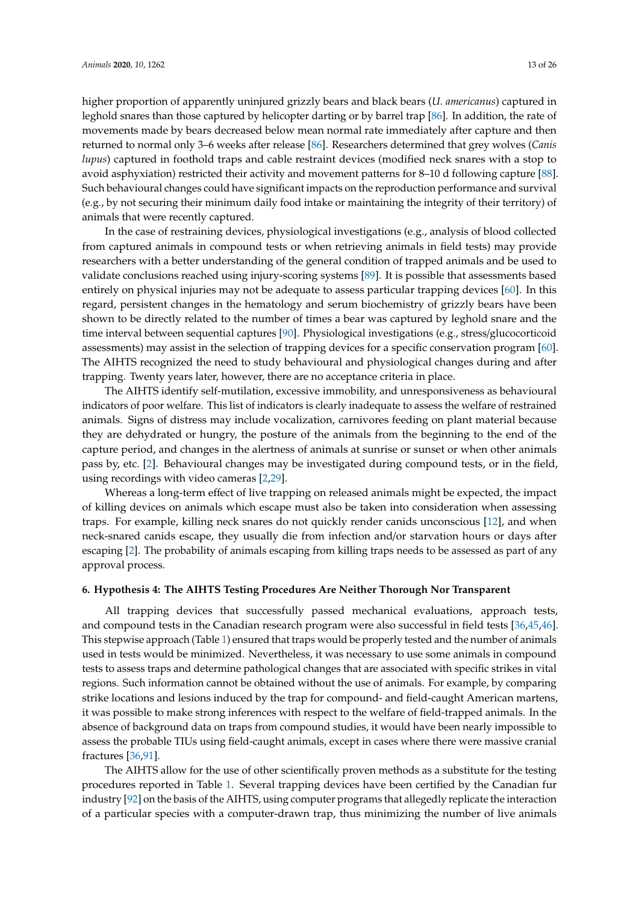higher proportion of apparently uninjured grizzly bears and black bears (*U. americanus*) captured in leghold snares than those captured by helicopter darting or by barrel trap [\[86\]](#page-23-2). In addition, the rate of movements made by bears decreased below mean normal rate immediately after capture and then returned to normal only 3–6 weeks after release [\[86\]](#page-23-2). Researchers determined that grey wolves (*Canis lupus*) captured in foothold traps and cable restraint devices (modified neck snares with a stop to avoid asphyxiation) restricted their activity and movement patterns for 8–10 d following capture [\[88\]](#page-23-4). Such behavioural changes could have significant impacts on the reproduction performance and survival (e.g., by not securing their minimum daily food intake or maintaining the integrity of their territory) of animals that were recently captured.

In the case of restraining devices, physiological investigations (e.g., analysis of blood collected from captured animals in compound tests or when retrieving animals in field tests) may provide researchers with a better understanding of the general condition of trapped animals and be used to validate conclusions reached using injury-scoring systems [\[89\]](#page-23-5). It is possible that assessments based entirely on physical injuries may not be adequate to assess particular trapping devices [\[60\]](#page-22-1). In this regard, persistent changes in the hematology and serum biochemistry of grizzly bears have been shown to be directly related to the number of times a bear was captured by leghold snare and the time interval between sequential captures [\[90\]](#page-23-6). Physiological investigations (e.g., stress/glucocorticoid assessments) may assist in the selection of trapping devices for a specific conservation program [\[60\]](#page-22-1). The AIHTS recognized the need to study behavioural and physiological changes during and after trapping. Twenty years later, however, there are no acceptance criteria in place.

The AIHTS identify self-mutilation, excessive immobility, and unresponsiveness as behavioural indicators of poor welfare. This list of indicators is clearly inadequate to assess the welfare of restrained animals. Signs of distress may include vocalization, carnivores feeding on plant material because they are dehydrated or hungry, the posture of the animals from the beginning to the end of the capture period, and changes in the alertness of animals at sunrise or sunset or when other animals pass by, etc. [\[2\]](#page-19-1). Behavioural changes may be investigated during compound tests, or in the field, using recordings with video cameras [\[2,](#page-19-1)[29\]](#page-20-16).

Whereas a long-term effect of live trapping on released animals might be expected, the impact of killing devices on animals which escape must also be taken into consideration when assessing traps. For example, killing neck snares do not quickly render canids unconscious [\[12\]](#page-20-1), and when neck-snared canids escape, they usually die from infection and/or starvation hours or days after escaping [\[2\]](#page-19-1). The probability of animals escaping from killing traps needs to be assessed as part of any approval process.

#### **6. Hypothesis 4: The AIHTS Testing Procedures Are Neither Thorough Nor Transparent**

All trapping devices that successfully passed mechanical evaluations, approach tests, and compound tests in the Canadian research program were also successful in field tests [\[36,](#page-21-1)[45,](#page-21-10)[46\]](#page-21-12). This stepwise approach (Table [1\)](#page-5-0) ensured that traps would be properly tested and the number of animals used in tests would be minimized. Nevertheless, it was necessary to use some animals in compound tests to assess traps and determine pathological changes that are associated with specific strikes in vital regions. Such information cannot be obtained without the use of animals. For example, by comparing strike locations and lesions induced by the trap for compound- and field-caught American martens, it was possible to make strong inferences with respect to the welfare of field-trapped animals. In the absence of background data on traps from compound studies, it would have been nearly impossible to assess the probable TIUs using field-caught animals, except in cases where there were massive cranial fractures [\[36](#page-21-1)[,91\]](#page-23-7).

The AIHTS allow for the use of other scientifically proven methods as a substitute for the testing procedures reported in Table [1.](#page-5-0) Several trapping devices have been certified by the Canadian fur industry [\[92\]](#page-23-8) on the basis of the AIHTS, using computer programs that allegedly replicate the interaction of a particular species with a computer-drawn trap, thus minimizing the number of live animals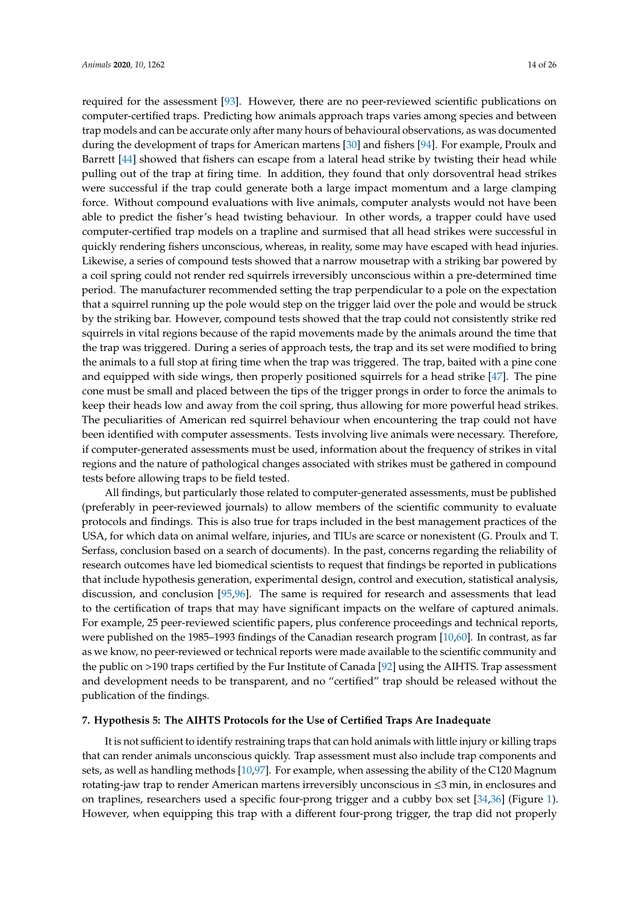required for the assessment [\[93\]](#page-23-9). However, there are no peer-reviewed scientific publications on computer-certified traps. Predicting how animals approach traps varies among species and between trap models and can be accurate only after many hours of behavioural observations, as was documented during the development of traps for American martens [\[30\]](#page-20-17) and fishers [\[94\]](#page-23-10). For example, Proulx and Barrett [\[44\]](#page-21-9) showed that fishers can escape from a lateral head strike by twisting their head while pulling out of the trap at firing time. In addition, they found that only dorsoventral head strikes were successful if the trap could generate both a large impact momentum and a large clamping force. Without compound evaluations with live animals, computer analysts would not have been able to predict the fisher's head twisting behaviour. In other words, a trapper could have used computer-certified trap models on a trapline and surmised that all head strikes were successful in quickly rendering fishers unconscious, whereas, in reality, some may have escaped with head injuries. Likewise, a series of compound tests showed that a narrow mousetrap with a striking bar powered by a coil spring could not render red squirrels irreversibly unconscious within a pre-determined time period. The manufacturer recommended setting the trap perpendicular to a pole on the expectation that a squirrel running up the pole would step on the trigger laid over the pole and would be struck by the striking bar. However, compound tests showed that the trap could not consistently strike red squirrels in vital regions because of the rapid movements made by the animals around the time that the trap was triggered. During a series of approach tests, the trap and its set were modified to bring the animals to a full stop at firing time when the trap was triggered. The trap, baited with a pine cone and equipped with side wings, then properly positioned squirrels for a head strike [\[47\]](#page-21-14). The pine cone must be small and placed between the tips of the trigger prongs in order to force the animals to keep their heads low and away from the coil spring, thus allowing for more powerful head strikes. The peculiarities of American red squirrel behaviour when encountering the trap could not have been identified with computer assessments. Tests involving live animals were necessary. Therefore, if computer-generated assessments must be used, information about the frequency of strikes in vital regions and the nature of pathological changes associated with strikes must be gathered in compound tests before allowing traps to be field tested.

All findings, but particularly those related to computer-generated assessments, must be published (preferably in peer-reviewed journals) to allow members of the scientific community to evaluate protocols and findings. This is also true for traps included in the best management practices of the USA, for which data on animal welfare, injuries, and TIUs are scarce or nonexistent (G. Proulx and T. Serfass, conclusion based on a search of documents). In the past, concerns regarding the reliability of research outcomes have led biomedical scientists to request that findings be reported in publications that include hypothesis generation, experimental design, control and execution, statistical analysis, discussion, and conclusion [\[95](#page-23-11)[,96\]](#page-23-12). The same is required for research and assessments that lead to the certification of traps that may have significant impacts on the welfare of captured animals. For example, 25 peer-reviewed scientific papers, plus conference proceedings and technical reports, were published on the 1985–1993 findings of the Canadian research program [\[10](#page-19-9)[,60\]](#page-22-1). In contrast, as far as we know, no peer-reviewed or technical reports were made available to the scientific community and the public on >190 traps certified by the Fur Institute of Canada [\[92\]](#page-23-8) using the AIHTS. Trap assessment and development needs to be transparent, and no "certified" trap should be released without the publication of the findings.

## **7. Hypothesis 5: The AIHTS Protocols for the Use of Certified Traps Are Inadequate**

It is not sufficient to identify restraining traps that can hold animals with little injury or killing traps that can render animals unconscious quickly. Trap assessment must also include trap components and sets, as well as handling methods [\[10](#page-19-9)[,97\]](#page-23-13). For example, when assessing the ability of the C120 Magnum rotating-jaw trap to render American martens irreversibly unconscious in ≤3 min, in enclosures and on traplines, researchers used a specific four-prong trigger and a cubby box set [\[34,](#page-20-21)[36\]](#page-21-1) (Figure [1\)](#page-14-0). However, when equipping this trap with a different four-prong trigger, the trap did not properly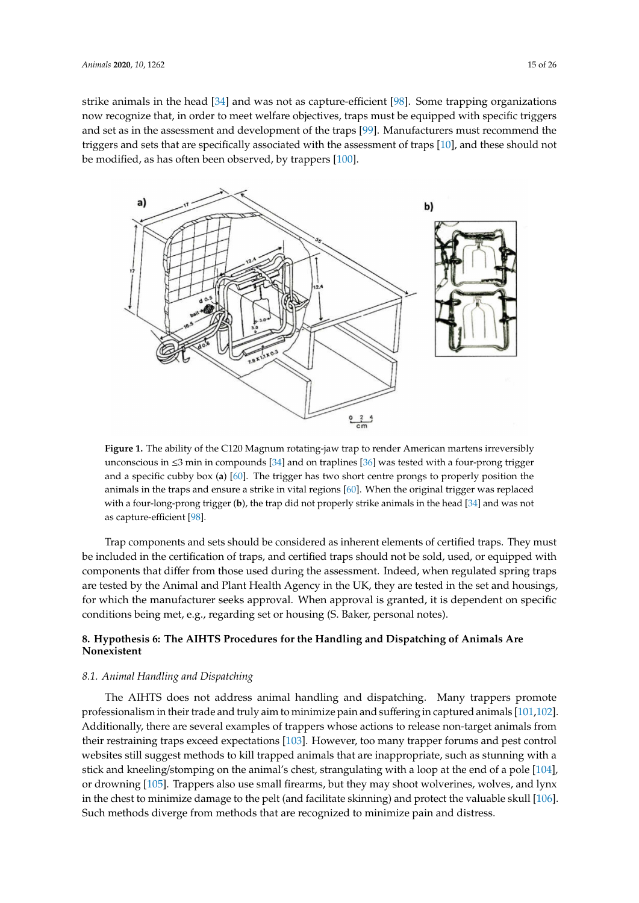strike animals in the head [\[34\]](#page-20-21) and was not as capture-efficient [\[98\]](#page-23-14). Some trapping organizations now recognize that, in order to meet welfare objectives, traps must be equipped with specific triggers and set as in the assessment and development of the traps [\[99\]](#page-23-15). Manufacturers must recommend the triggers and sets that are specifically associated with the assessment of traps [\[10\]](#page-19-9), and these should not be modified, as has often been observed, by trappers [\[100\]](#page-23-16).

<span id="page-14-0"></span>

**Figure 1.** The ability of the C120 Magnum rotating-jaw trap to render American martens irreversibly unconscious in  $\leq$ 3 min in compounds [\[34\]](#page-20-21) and on traplines [\[36\]](#page-21-1) was tested with a four-prong trigger and a specific cubby box (**a**) [\[60\]](#page-22-1). The trigger has two short centre prongs to properly position the animals in the traps and ensure a strike in vital regions [\[60\]](#page-22-1). When the original trigger was replaced with a four-long-prong trigger (**b**), the trap did not properly strike animals in the head [\[34\]](#page-20-21) and was not as capture-efficient [\[98\]](#page-23-14).

Trap components and sets should be considered as inherent elements of certified traps. They must be included in the certification of traps, and certified traps should not be sold, used, or equipped with components that differ from those used during the assessment. Indeed, when regulated spring traps are tested by the Animal and Plant Health Agency in the UK, they are tested in the set and housings, for which the manufacturer seeks approval. When approval is granted, it is dependent on specific conditions being met, e.g., regarding set or housing (S. Baker, personal notes).

# **8. Hypothesis 6: The AIHTS Procedures for the Handling and Dispatching of Animals Are Nonexistent**

#### *8.1. Animal Handling and Dispatching*

The AIHTS does not address animal handling and dispatching. Many trappers promote professionalism in their trade and truly aim to minimize pain and suffering in captured animals [\[101](#page-23-17)[,102\]](#page-23-18). Additionally, there are several examples of trappers whose actions to release non-target animals from their restraining traps exceed expectations [\[103\]](#page-23-19). However, too many trapper forums and pest control websites still suggest methods to kill trapped animals that are inappropriate, such as stunning with a stick and kneeling/stomping on the animal's chest, strangulating with a loop at the end of a pole [\[104\]](#page-24-0), or drowning [\[105\]](#page-24-1). Trappers also use small firearms, but they may shoot wolverines, wolves, and lynx in the chest to minimize damage to the pelt (and facilitate skinning) and protect the valuable skull [\[106\]](#page-24-2). Such methods diverge from methods that are recognized to minimize pain and distress.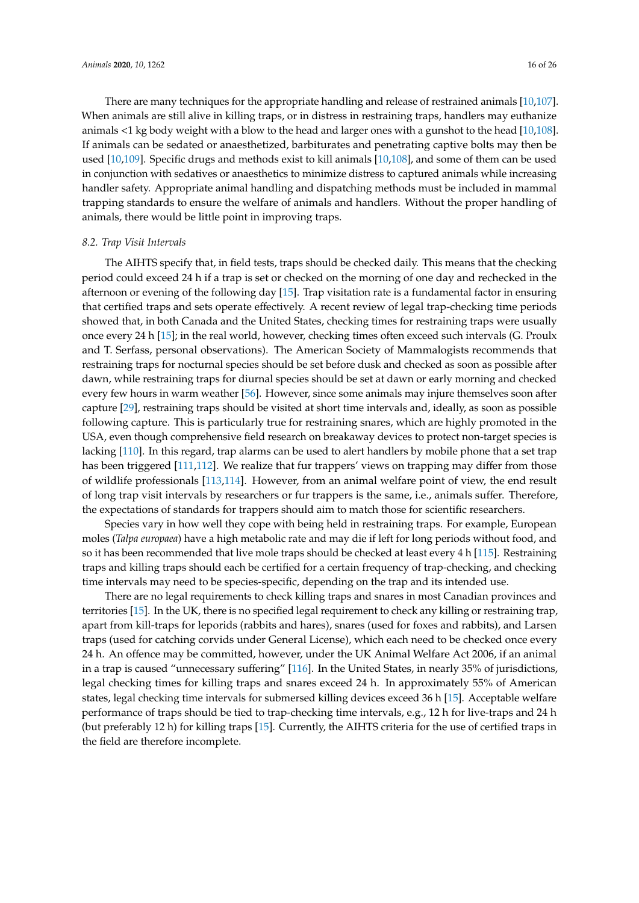There are many techniques for the appropriate handling and release of restrained animals [\[10](#page-19-9)[,107\]](#page-24-3). When animals are still alive in killing traps, or in distress in restraining traps, handlers may euthanize animals <1 kg body weight with a blow to the head and larger ones with a gunshot to the head [\[10](#page-19-9)[,108\]](#page-24-4). If animals can be sedated or anaesthetized, barbiturates and penetrating captive bolts may then be used [\[10](#page-19-9)[,109\]](#page-24-5). Specific drugs and methods exist to kill animals [\[10,](#page-19-9)[108\]](#page-24-4), and some of them can be used in conjunction with sedatives or anaesthetics to minimize distress to captured animals while increasing handler safety. Appropriate animal handling and dispatching methods must be included in mammal trapping standards to ensure the welfare of animals and handlers. Without the proper handling of animals, there would be little point in improving traps.

#### *8.2. Trap Visit Intervals*

The AIHTS specify that, in field tests, traps should be checked daily. This means that the checking period could exceed 24 h if a trap is set or checked on the morning of one day and rechecked in the afternoon or evening of the following day [\[15\]](#page-20-4). Trap visitation rate is a fundamental factor in ensuring that certified traps and sets operate effectively. A recent review of legal trap-checking time periods showed that, in both Canada and the United States, checking times for restraining traps were usually once every 24 h [\[15\]](#page-20-4); in the real world, however, checking times often exceed such intervals (G. Proulx and T. Serfass, personal observations). The American Society of Mammalogists recommends that restraining traps for nocturnal species should be set before dusk and checked as soon as possible after dawn, while restraining traps for diurnal species should be set at dawn or early morning and checked every few hours in warm weather [\[56\]](#page-21-21). However, since some animals may injure themselves soon after capture [\[29\]](#page-20-16), restraining traps should be visited at short time intervals and, ideally, as soon as possible following capture. This is particularly true for restraining snares, which are highly promoted in the USA, even though comprehensive field research on breakaway devices to protect non-target species is lacking [\[110\]](#page-24-6). In this regard, trap alarms can be used to alert handlers by mobile phone that a set trap has been triggered [\[111,](#page-24-7)[112\]](#page-24-8). We realize that fur trappers' views on trapping may differ from those of wildlife professionals [\[113,](#page-24-9)[114\]](#page-24-10). However, from an animal welfare point of view, the end result of long trap visit intervals by researchers or fur trappers is the same, i.e., animals suffer. Therefore, the expectations of standards for trappers should aim to match those for scientific researchers.

Species vary in how well they cope with being held in restraining traps. For example, European moles (*Talpa europaea*) have a high metabolic rate and may die if left for long periods without food, and so it has been recommended that live mole traps should be checked at least every 4 h [\[115\]](#page-24-11). Restraining traps and killing traps should each be certified for a certain frequency of trap-checking, and checking time intervals may need to be species-specific, depending on the trap and its intended use.

There are no legal requirements to check killing traps and snares in most Canadian provinces and territories [\[15\]](#page-20-4). In the UK, there is no specified legal requirement to check any killing or restraining trap, apart from kill-traps for leporids (rabbits and hares), snares (used for foxes and rabbits), and Larsen traps (used for catching corvids under General License), which each need to be checked once every 24 h. An offence may be committed, however, under the UK Animal Welfare Act 2006, if an animal in a trap is caused "unnecessary suffering" [\[116\]](#page-24-12). In the United States, in nearly 35% of jurisdictions, legal checking times for killing traps and snares exceed 24 h. In approximately 55% of American states, legal checking time intervals for submersed killing devices exceed 36 h [\[15\]](#page-20-4). Acceptable welfare performance of traps should be tied to trap-checking time intervals, e.g., 12 h for live-traps and 24 h (but preferably 12 h) for killing traps [\[15\]](#page-20-4). Currently, the AIHTS criteria for the use of certified traps in the field are therefore incomplete.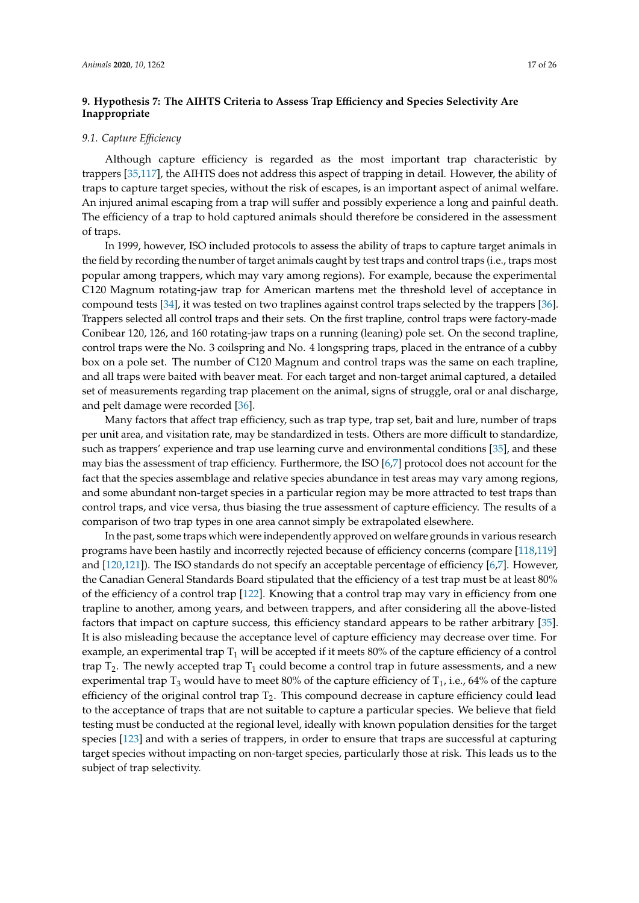# **9. Hypothesis 7: The AIHTS Criteria to Assess Trap E**ffi**ciency and Species Selectivity Are Inappropriate**

#### *9.1. Capture E*ffi*ciency*

Although capture efficiency is regarded as the most important trap characteristic by trappers [\[35,](#page-21-0)[117\]](#page-24-13), the AIHTS does not address this aspect of trapping in detail. However, the ability of traps to capture target species, without the risk of escapes, is an important aspect of animal welfare. An injured animal escaping from a trap will suffer and possibly experience a long and painful death. The efficiency of a trap to hold captured animals should therefore be considered in the assessment of traps.

In 1999, however, ISO included protocols to assess the ability of traps to capture target animals in the field by recording the number of target animals caught by test traps and control traps (i.e., traps most popular among trappers, which may vary among regions). For example, because the experimental C120 Magnum rotating-jaw trap for American martens met the threshold level of acceptance in compound tests [\[34\]](#page-20-21), it was tested on two traplines against control traps selected by the trappers [\[36\]](#page-21-1). Trappers selected all control traps and their sets. On the first trapline, control traps were factory-made Conibear 120, 126, and 160 rotating-jaw traps on a running (leaning) pole set. On the second trapline, control traps were the No. 3 coilspring and No. 4 longspring traps, placed in the entrance of a cubby box on a pole set. The number of C120 Magnum and control traps was the same on each trapline, and all traps were baited with beaver meat. For each target and non-target animal captured, a detailed set of measurements regarding trap placement on the animal, signs of struggle, oral or anal discharge, and pelt damage were recorded [\[36\]](#page-21-1).

Many factors that affect trap efficiency, such as trap type, trap set, bait and lure, number of traps per unit area, and visitation rate, may be standardized in tests. Others are more difficult to standardize, such as trappers' experience and trap use learning curve and environmental conditions [\[35\]](#page-21-0), and these may bias the assessment of trap efficiency. Furthermore, the ISO [\[6,](#page-19-5)[7\]](#page-19-6) protocol does not account for the fact that the species assemblage and relative species abundance in test areas may vary among regions, and some abundant non-target species in a particular region may be more attracted to test traps than control traps, and vice versa, thus biasing the true assessment of capture efficiency. The results of a comparison of two trap types in one area cannot simply be extrapolated elsewhere.

In the past, some traps which were independently approved on welfare grounds in various research programs have been hastily and incorrectly rejected because of efficiency concerns (compare [\[118,](#page-24-14)[119\]](#page-24-15) and [\[120,](#page-24-16)[121\]](#page-24-17)). The ISO standards do not specify an acceptable percentage of efficiency [\[6](#page-19-5)[,7\]](#page-19-6). However, the Canadian General Standards Board stipulated that the efficiency of a test trap must be at least 80% of the efficiency of a control trap [\[122\]](#page-24-18). Knowing that a control trap may vary in efficiency from one trapline to another, among years, and between trappers, and after considering all the above-listed factors that impact on capture success, this efficiency standard appears to be rather arbitrary [\[35\]](#page-21-0). It is also misleading because the acceptance level of capture efficiency may decrease over time. For example, an experimental trap  $T_1$  will be accepted if it meets 80% of the capture efficiency of a control trap  $T_2$ . The newly accepted trap  $T_1$  could become a control trap in future assessments, and a new experimental trap  $T_3$  would have to meet 80% of the capture efficiency of  $T_1$ , i.e., 64% of the capture efficiency of the original control trap  $T_2$ . This compound decrease in capture efficiency could lead to the acceptance of traps that are not suitable to capture a particular species. We believe that field testing must be conducted at the regional level, ideally with known population densities for the target species [\[123\]](#page-24-19) and with a series of trappers, in order to ensure that traps are successful at capturing target species without impacting on non-target species, particularly those at risk. This leads us to the subject of trap selectivity.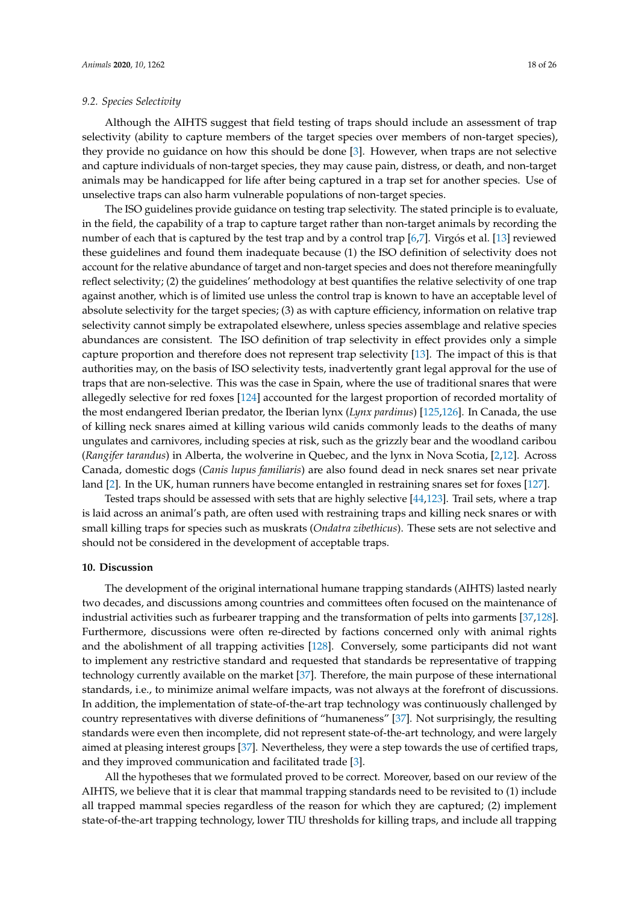#### *9.2. Species Selectivity*

Although the AIHTS suggest that field testing of traps should include an assessment of trap selectivity (ability to capture members of the target species over members of non-target species), they provide no guidance on how this should be done [\[3\]](#page-19-2). However, when traps are not selective and capture individuals of non-target species, they may cause pain, distress, or death, and non-target animals may be handicapped for life after being captured in a trap set for another species. Use of unselective traps can also harm vulnerable populations of non-target species.

The ISO guidelines provide guidance on testing trap selectivity. The stated principle is to evaluate, in the field, the capability of a trap to capture target rather than non-target animals by recording the number of each that is captured by the test trap and by a control trap [\[6,](#page-19-5)[7\]](#page-19-6). Virgós et al. [\[13\]](#page-20-2) reviewed these guidelines and found them inadequate because (1) the ISO definition of selectivity does not account for the relative abundance of target and non-target species and does not therefore meaningfully reflect selectivity; (2) the guidelines' methodology at best quantifies the relative selectivity of one trap against another, which is of limited use unless the control trap is known to have an acceptable level of absolute selectivity for the target species; (3) as with capture efficiency, information on relative trap selectivity cannot simply be extrapolated elsewhere, unless species assemblage and relative species abundances are consistent. The ISO definition of trap selectivity in effect provides only a simple capture proportion and therefore does not represent trap selectivity [\[13\]](#page-20-2). The impact of this is that authorities may, on the basis of ISO selectivity tests, inadvertently grant legal approval for the use of traps that are non-selective. This was the case in Spain, where the use of traditional snares that were allegedly selective for red foxes [\[124\]](#page-24-20) accounted for the largest proportion of recorded mortality of the most endangered Iberian predator, the Iberian lynx (*Lynx pardinus*) [\[125](#page-24-21)[,126\]](#page-24-22). In Canada, the use of killing neck snares aimed at killing various wild canids commonly leads to the deaths of many ungulates and carnivores, including species at risk, such as the grizzly bear and the woodland caribou (*Rangifer tarandus*) in Alberta, the wolverine in Quebec, and the lynx in Nova Scotia, [\[2](#page-19-1)[,12\]](#page-20-1). Across Canada, domestic dogs (*Canis lupus familiaris*) are also found dead in neck snares set near private land [\[2\]](#page-19-1). In the UK, human runners have become entangled in restraining snares set for foxes [\[127\]](#page-24-23).

Tested traps should be assessed with sets that are highly selective [\[44,](#page-21-9)[123\]](#page-24-19). Trail sets, where a trap is laid across an animal's path, are often used with restraining traps and killing neck snares or with small killing traps for species such as muskrats (*Ondatra zibethicus*). These sets are not selective and should not be considered in the development of acceptable traps.

## **10. Discussion**

The development of the original international humane trapping standards (AIHTS) lasted nearly two decades, and discussions among countries and committees often focused on the maintenance of industrial activities such as furbearer trapping and the transformation of pelts into garments [\[37](#page-21-2)[,128\]](#page-24-24). Furthermore, discussions were often re-directed by factions concerned only with animal rights and the abolishment of all trapping activities [\[128\]](#page-24-24). Conversely, some participants did not want to implement any restrictive standard and requested that standards be representative of trapping technology currently available on the market [\[37\]](#page-21-2). Therefore, the main purpose of these international standards, i.e., to minimize animal welfare impacts, was not always at the forefront of discussions. In addition, the implementation of state-of-the-art trap technology was continuously challenged by country representatives with diverse definitions of "humaneness" [\[37\]](#page-21-2). Not surprisingly, the resulting standards were even then incomplete, did not represent state-of-the-art technology, and were largely aimed at pleasing interest groups [\[37\]](#page-21-2). Nevertheless, they were a step towards the use of certified traps, and they improved communication and facilitated trade [\[3\]](#page-19-2).

All the hypotheses that we formulated proved to be correct. Moreover, based on our review of the AIHTS, we believe that it is clear that mammal trapping standards need to be revisited to (1) include all trapped mammal species regardless of the reason for which they are captured; (2) implement state-of-the-art trapping technology, lower TIU thresholds for killing traps, and include all trapping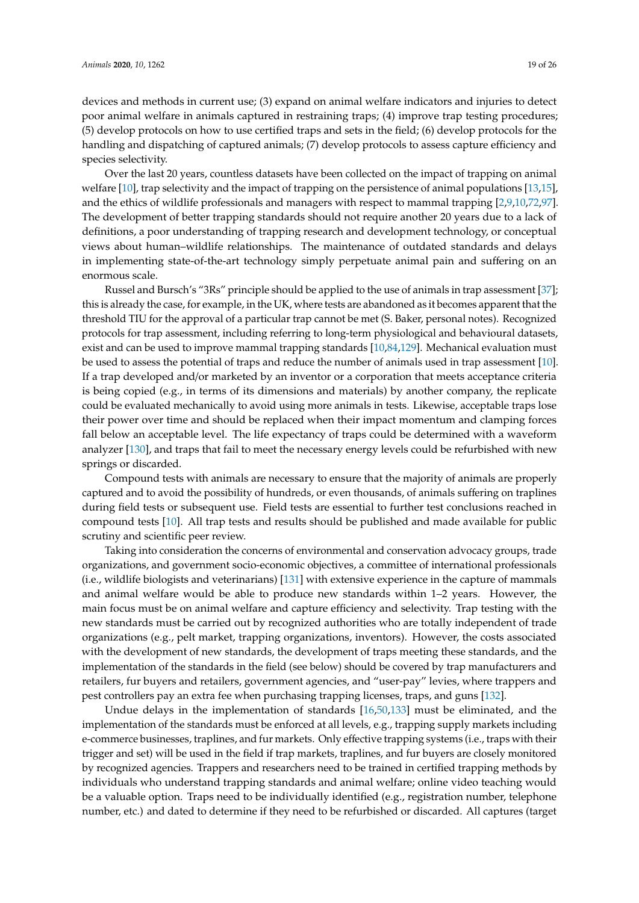devices and methods in current use; (3) expand on animal welfare indicators and injuries to detect poor animal welfare in animals captured in restraining traps; (4) improve trap testing procedures; (5) develop protocols on how to use certified traps and sets in the field; (6) develop protocols for the handling and dispatching of captured animals; (7) develop protocols to assess capture efficiency and species selectivity.

Over the last 20 years, countless datasets have been collected on the impact of trapping on animal welfare [\[10\]](#page-19-9), trap selectivity and the impact of trapping on the persistence of animal populations [\[13](#page-20-2)[,15\]](#page-20-4), and the ethics of wildlife professionals and managers with respect to mammal trapping [\[2](#page-19-1)[,9](#page-19-8)[,10](#page-19-9)[,72](#page-22-12)[,97\]](#page-23-13). The development of better trapping standards should not require another 20 years due to a lack of definitions, a poor understanding of trapping research and development technology, or conceptual views about human–wildlife relationships. The maintenance of outdated standards and delays in implementing state-of-the-art technology simply perpetuate animal pain and suffering on an enormous scale.

Russel and Bursch's "3Rs" principle should be applied to the use of animals in trap assessment [\[37\]](#page-21-2); this is already the case, for example, in the UK, where tests are abandoned as it becomes apparent that the threshold TIU for the approval of a particular trap cannot be met (S. Baker, personal notes). Recognized protocols for trap assessment, including referring to long-term physiological and behavioural datasets, exist and can be used to improve mammal trapping standards [\[10](#page-19-9)[,84,](#page-23-0)[129\]](#page-25-0). Mechanical evaluation must be used to assess the potential of traps and reduce the number of animals used in trap assessment [\[10\]](#page-19-9). If a trap developed and/or marketed by an inventor or a corporation that meets acceptance criteria is being copied (e.g., in terms of its dimensions and materials) by another company, the replicate could be evaluated mechanically to avoid using more animals in tests. Likewise, acceptable traps lose their power over time and should be replaced when their impact momentum and clamping forces fall below an acceptable level. The life expectancy of traps could be determined with a waveform analyzer [\[130\]](#page-25-1), and traps that fail to meet the necessary energy levels could be refurbished with new springs or discarded.

Compound tests with animals are necessary to ensure that the majority of animals are properly captured and to avoid the possibility of hundreds, or even thousands, of animals suffering on traplines during field tests or subsequent use. Field tests are essential to further test conclusions reached in compound tests [\[10\]](#page-19-9). All trap tests and results should be published and made available for public scrutiny and scientific peer review.

Taking into consideration the concerns of environmental and conservation advocacy groups, trade organizations, and government socio-economic objectives, a committee of international professionals (i.e., wildlife biologists and veterinarians) [\[131\]](#page-25-2) with extensive experience in the capture of mammals and animal welfare would be able to produce new standards within 1–2 years. However, the main focus must be on animal welfare and capture efficiency and selectivity. Trap testing with the new standards must be carried out by recognized authorities who are totally independent of trade organizations (e.g., pelt market, trapping organizations, inventors). However, the costs associated with the development of new standards, the development of traps meeting these standards, and the implementation of the standards in the field (see below) should be covered by trap manufacturers and retailers, fur buyers and retailers, government agencies, and "user-pay" levies, where trappers and pest controllers pay an extra fee when purchasing trapping licenses, traps, and guns [\[132\]](#page-25-3).

Undue delays in the implementation of standards [\[16,](#page-20-5)[50,](#page-21-15)[133\]](#page-25-4) must be eliminated, and the implementation of the standards must be enforced at all levels, e.g., trapping supply markets including e-commerce businesses, traplines, and fur markets. Only effective trapping systems (i.e., traps with their trigger and set) will be used in the field if trap markets, traplines, and fur buyers are closely monitored by recognized agencies. Trappers and researchers need to be trained in certified trapping methods by individuals who understand trapping standards and animal welfare; online video teaching would be a valuable option. Traps need to be individually identified (e.g., registration number, telephone number, etc.) and dated to determine if they need to be refurbished or discarded. All captures (target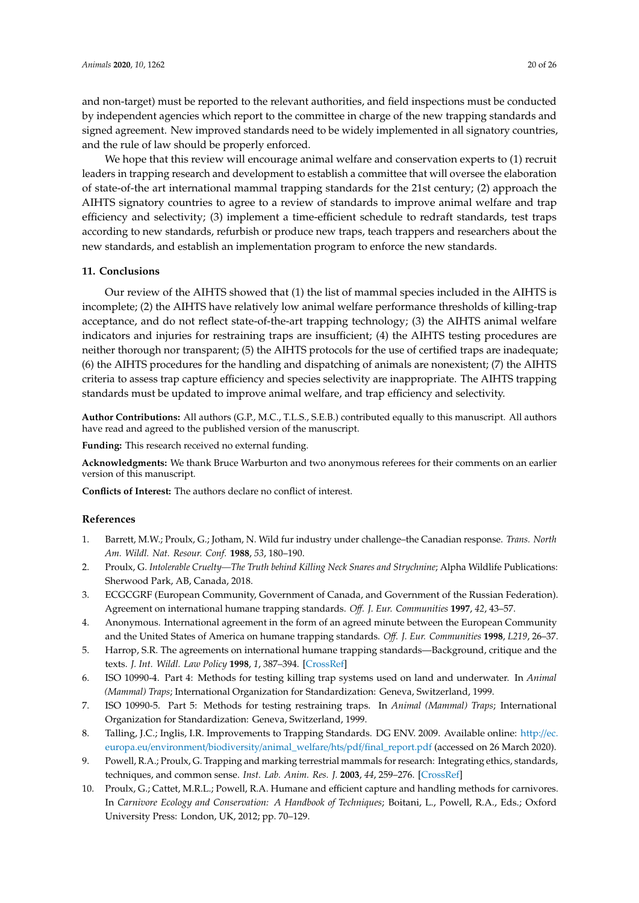and non-target) must be reported to the relevant authorities, and field inspections must be conducted by independent agencies which report to the committee in charge of the new trapping standards and signed agreement. New improved standards need to be widely implemented in all signatory countries, and the rule of law should be properly enforced.

We hope that this review will encourage animal welfare and conservation experts to (1) recruit leaders in trapping research and development to establish a committee that will oversee the elaboration of state-of-the art international mammal trapping standards for the 21st century; (2) approach the AIHTS signatory countries to agree to a review of standards to improve animal welfare and trap efficiency and selectivity; (3) implement a time-efficient schedule to redraft standards, test traps according to new standards, refurbish or produce new traps, teach trappers and researchers about the new standards, and establish an implementation program to enforce the new standards.

### **11. Conclusions**

<span id="page-19-13"></span>Our review of the AIHTS showed that (1) the list of mammal species included in the AIHTS is incomplete; (2) the AIHTS have relatively low animal welfare performance thresholds of killing-trap acceptance, and do not reflect state-of-the-art trapping technology; (3) the AIHTS animal welfare indicators and injuries for restraining traps are insufficient; (4) the AIHTS testing procedures are neither thorough nor transparent; (5) the AIHTS protocols for the use of certified traps are inadequate; (6) the AIHTS procedures for the handling and dispatching of animals are nonexistent; (7) the AIHTS criteria to assess trap capture efficiency and species selectivity are inappropriate. The AIHTS trapping standards must be updated to improve animal welfare, and trap efficiency and selectivity.

<span id="page-19-11"></span>**Author Contributions:** All authors (G.P., M.C., T.L.S., S.E.B.) contributed equally to this manuscript. All authors have read and agreed to the published version of the manuscript.

<span id="page-19-12"></span>**Funding:** This research received no external funding.

**Acknowledgments:** We thank Bruce Warburton and two anonymous referees for their comments on an earlier version of this manuscript.

**Conflicts of Interest:** The authors declare no conflict of interest.

#### <span id="page-19-10"></span>**References**

- <span id="page-19-0"></span>1. Barrett, M.W.; Proulx, G.; Jotham, N. Wild fur industry under challenge–the Canadian response. *Trans. North Am. Wildl. Nat. Resour. Conf.* **1988**, *53*, 180–190.
- <span id="page-19-1"></span>2. Proulx, G. *Intolerable Cruelty—The Truth behind Killing Neck Snares and Strychnine*; Alpha Wildlife Publications: Sherwood Park, AB, Canada, 2018.
- <span id="page-19-2"></span>3. ECGCGRF (European Community, Government of Canada, and Government of the Russian Federation). Agreement on international humane trapping standards. *O*ff*. J. Eur. Communities* **1997**, *42*, 43–57.
- <span id="page-19-3"></span>4. Anonymous. International agreement in the form of an agreed minute between the European Community and the United States of America on humane trapping standards. *O*ff*. J. Eur. Communities* **1998**, *L219*, 26–37.
- <span id="page-19-4"></span>5. Harrop, S.R. The agreements on international humane trapping standards—Background, critique and the texts. *J. Int. Wildl. Law Policy* **1998**, *1*, 387–394. [\[CrossRef\]](http://dx.doi.org/10.1080/13880299809353908)
- <span id="page-19-5"></span>6. ISO 10990-4. Part 4: Methods for testing killing trap systems used on land and underwater. In *Animal (Mammal) Traps*; International Organization for Standardization: Geneva, Switzerland, 1999.
- <span id="page-19-6"></span>7. ISO 10990-5. Part 5: Methods for testing restraining traps. In *Animal (Mammal) Traps*; International Organization for Standardization: Geneva, Switzerland, 1999.
- <span id="page-19-7"></span>8. Talling, J.C.; Inglis, I.R. Improvements to Trapping Standards. DG ENV. 2009. Available online: [http:](http://ec.europa.eu/environment/biodiversity/animal_welfare/hts/pdf/final_report.pdf)//ec. europa.eu/environment/biodiversity/animal\_welfare/hts/pdf/[final\\_report.pdf](http://ec.europa.eu/environment/biodiversity/animal_welfare/hts/pdf/final_report.pdf) (accessed on 26 March 2020).
- <span id="page-19-8"></span>9. Powell, R.A.; Proulx, G. Trapping and marking terrestrial mammals for research: Integrating ethics, standards, techniques, and common sense. *Inst. Lab. Anim. Res. J.* **2003**, *44*, 259–276. [\[CrossRef\]](http://dx.doi.org/10.1093/ilar.44.4.259)
- <span id="page-19-9"></span>10. Proulx, G.; Cattet, M.R.L.; Powell, R.A. Humane and efficient capture and handling methods for carnivores. In *Carnivore Ecology and Conservation: A Handbook of Techniques*; Boitani, L., Powell, R.A., Eds.; Oxford University Press: London, UK, 2012; pp. 70–129.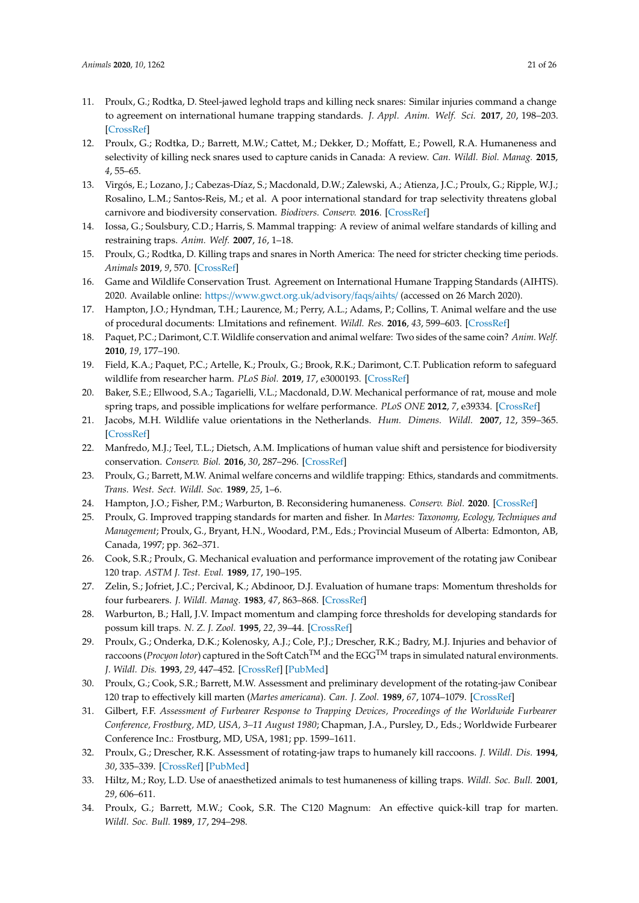- <span id="page-20-0"></span>11. Proulx, G.; Rodtka, D. Steel-jawed leghold traps and killing neck snares: Similar injuries command a change to agreement on international humane trapping standards. *J. Appl. Anim. Welf. Sci.* **2017**, *20*, 198–203. [\[CrossRef\]](http://dx.doi.org/10.1080/10888705.2017.1286989)
- <span id="page-20-1"></span>12. Proulx, G.; Rodtka, D.; Barrett, M.W.; Cattet, M.; Dekker, D.; Moffatt, E.; Powell, R.A. Humaneness and selectivity of killing neck snares used to capture canids in Canada: A review. *Can. Wildl. Biol. Manag.* **2015**, *4*, 55–65.
- <span id="page-20-2"></span>13. Virgós, E.; Lozano, J.; Cabezas-Díaz, S.; Macdonald, D.W.; Zalewski, A.; Atienza, J.C.; Proulx, G.; Ripple, W.J.; Rosalino, L.M.; Santos-Reis, M.; et al. A poor international standard for trap selectivity threatens global carnivore and biodiversity conservation. *Biodivers. Conserv.* **2016**. [\[CrossRef\]](http://dx.doi.org/10.1007/s10531-016-1117-7)
- <span id="page-20-3"></span>14. Iossa, G.; Soulsbury, C.D.; Harris, S. Mammal trapping: A review of animal welfare standards of killing and restraining traps. *Anim. Welf.* **2007**, *16*, 1–18.
- <span id="page-20-4"></span>15. Proulx, G.; Rodtka, D. Killing traps and snares in North America: The need for stricter checking time periods. *Animals* **2019**, *9*, 570. [\[CrossRef\]](http://dx.doi.org/10.3390/ani9080570)
- <span id="page-20-5"></span>16. Game and Wildlife Conservation Trust. Agreement on International Humane Trapping Standards (AIHTS). 2020. Available online: https://[www.gwct.org.uk](https://www.gwct.org.uk/advisory/faqs/aihts/)/advisory/faqs/aihts/ (accessed on 26 March 2020).
- <span id="page-20-6"></span>17. Hampton, J.O.; Hyndman, T.H.; Laurence, M.; Perry, A.L.; Adams, P.; Collins, T. Animal welfare and the use of procedural documents: LImitations and refinement. *Wildl. Res.* **2016**, *43*, 599–603. [\[CrossRef\]](http://dx.doi.org/10.1071/WR16153)
- <span id="page-20-7"></span>18. Paquet, P.C.; Darimont, C.T. Wildlife conservation and animal welfare: Two sides of the same coin? *Anim. Welf.* **2010**, *19*, 177–190.
- <span id="page-20-23"></span>19. Field, K.A.; Paquet, P.C.; Artelle, K.; Proulx, G.; Brook, R.K.; Darimont, C.T. Publication reform to safeguard wildlife from researcher harm. *PLoS Biol.* **2019**, *17*, e3000193. [\[CrossRef\]](http://dx.doi.org/10.1371/journal.pbio.3000193)
- <span id="page-20-8"></span>20. Baker, S.E.; Ellwood, S.A.; Tagarielli, V.L.; Macdonald, D.W. Mechanical performance of rat, mouse and mole spring traps, and possible implications for welfare performance. *PLoS ONE* **2012**, *7*, e39334. [\[CrossRef\]](http://dx.doi.org/10.1371/journal.pone.0039334)
- <span id="page-20-9"></span>21. Jacobs, M.H. Wildlife value orientations in the Netherlands. *Hum. Dimens. Wildl.* **2007**, *12*, 359–365. [\[CrossRef\]](http://dx.doi.org/10.1080/10871200701555345)
- <span id="page-20-10"></span>22. Manfredo, M.J.; Teel, T.L.; Dietsch, A.M. Implications of human value shift and persistence for biodiversity conservation. *Conserv. Biol.* **2016**, *30*, 287–296. [\[CrossRef\]](http://dx.doi.org/10.1111/cobi.12619)
- <span id="page-20-11"></span>23. Proulx, G.; Barrett, M.W. Animal welfare concerns and wildlife trapping: Ethics, standards and commitments. *Trans. West. Sect. Wildl. Soc.* **1989**, *25*, 1–6.
- <span id="page-20-12"></span>24. Hampton, J.O.; Fisher, P.M.; Warburton, B. Reconsidering humaneness. *Conserv. Biol.* **2020**. [\[CrossRef\]](http://dx.doi.org/10.1111/cobi.13489)
- <span id="page-20-13"></span>25. Proulx, G. Improved trapping standards for marten and fisher. In *Martes: Taxonomy, Ecology, Techniques and Management*; Proulx, G., Bryant, H.N., Woodard, P.M., Eds.; Provincial Museum of Alberta: Edmonton, AB, Canada, 1997; pp. 362–371.
- <span id="page-20-14"></span>26. Cook, S.R.; Proulx, G. Mechanical evaluation and performance improvement of the rotating jaw Conibear 120 trap. *ASTM J. Test. Eval.* **1989**, *17*, 190–195.
- <span id="page-20-22"></span>27. Zelin, S.; Jofriet, J.C.; Percival, K.; Abdinoor, D.J. Evaluation of humane traps: Momentum thresholds for four furbearers. *J. Wildl. Manag.* **1983**, *47*, 863–868. [\[CrossRef\]](http://dx.doi.org/10.2307/3808628)
- <span id="page-20-15"></span>28. Warburton, B.; Hall, J.V. Impact momentum and clamping force thresholds for developing standards for possum kill traps. *N. Z. J. Zool.* **1995**, *22*, 39–44. [\[CrossRef\]](http://dx.doi.org/10.1080/03014223.1995.9518022)
- <span id="page-20-16"></span>29. Proulx, G.; Onderka, D.K.; Kolenosky, A.J.; Cole, P.J.; Drescher, R.K.; Badry, M.J. Injuries and behavior of raccoons (*Procyon lotor*) captured in the Soft CatchTM and the EGGTM traps in simulated natural environments. *J. Wildl. Dis.* **1993**, *29*, 447–452. [\[CrossRef\]](http://dx.doi.org/10.7589/0090-3558-29.3.447) [\[PubMed\]](http://www.ncbi.nlm.nih.gov/pubmed/8355347)
- <span id="page-20-17"></span>30. Proulx, G.; Cook, S.R.; Barrett, M.W. Assessment and preliminary development of the rotating-jaw Conibear 120 trap to effectively kill marten (*Martes americana*). *Can. J. Zool.* **1989**, *67*, 1074–1079. [\[CrossRef\]](http://dx.doi.org/10.1139/z89-149)
- <span id="page-20-18"></span>31. Gilbert, F.F. *Assessment of Furbearer Response to Trapping Devices, Proceedings of the Worldwide Furbearer Conference, Frostburg, MD, USA, 3–11 August 1980*; Chapman, J.A., Pursley, D., Eds.; Worldwide Furbearer Conference Inc.: Frostburg, MD, USA, 1981; pp. 1599–1611.
- <span id="page-20-19"></span>32. Proulx, G.; Drescher, R.K. Assessment of rotating-jaw traps to humanely kill raccoons. *J. Wildl. Dis.* **1994**, *30*, 335–339. [\[CrossRef\]](http://dx.doi.org/10.7589/0090-3558-30.3.335) [\[PubMed\]](http://www.ncbi.nlm.nih.gov/pubmed/7933274)
- <span id="page-20-20"></span>33. Hiltz, M.; Roy, L.D. Use of anaesthetized animals to test humaneness of killing traps. *Wildl. Soc. Bull.* **2001**, *29*, 606–611.
- <span id="page-20-21"></span>34. Proulx, G.; Barrett, M.W.; Cook, S.R. The C120 Magnum: An effective quick-kill trap for marten. *Wildl. Soc. Bull.* **1989**, *17*, 294–298.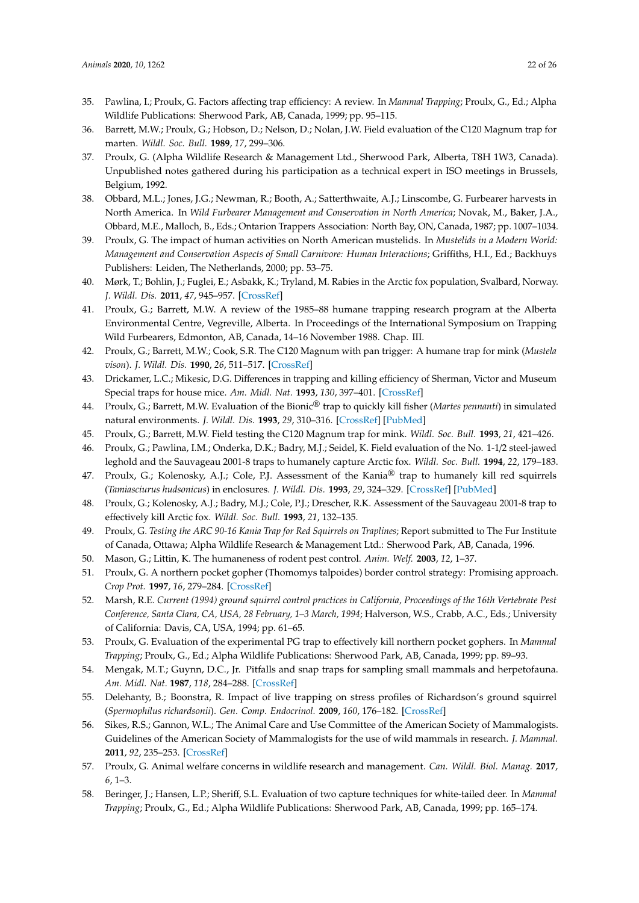- <span id="page-21-0"></span>35. Pawlina, I.; Proulx, G. Factors affecting trap efficiency: A review. In *Mammal Trapping*; Proulx, G., Ed.; Alpha Wildlife Publications: Sherwood Park, AB, Canada, 1999; pp. 95–115.
- <span id="page-21-1"></span>36. Barrett, M.W.; Proulx, G.; Hobson, D.; Nelson, D.; Nolan, J.W. Field evaluation of the C120 Magnum trap for marten. *Wildl. Soc. Bull.* **1989**, *17*, 299–306.
- <span id="page-21-2"></span>37. Proulx, G. (Alpha Wildlife Research & Management Ltd., Sherwood Park, Alberta, T8H 1W3, Canada). Unpublished notes gathered during his participation as a technical expert in ISO meetings in Brussels, Belgium, 1992.
- <span id="page-21-3"></span>38. Obbard, M.L.; Jones, J.G.; Newman, R.; Booth, A.; Satterthwaite, A.J.; Linscombe, G. Furbearer harvests in North America. In *Wild Furbearer Management and Conservation in North America*; Novak, M., Baker, J.A., Obbard, M.E., Malloch, B., Eds.; Ontarion Trappers Association: North Bay, ON, Canada, 1987; pp. 1007–1034.
- <span id="page-21-4"></span>39. Proulx, G. The impact of human activities on North American mustelids. In *Mustelids in a Modern World: Management and Conservation Aspects of Small Carnivore: Human Interactions*; Griffiths, H.I., Ed.; Backhuys Publishers: Leiden, The Netherlands, 2000; pp. 53–75.
- <span id="page-21-5"></span>40. Mørk, T.; Bohlin, J.; Fuglei, E.; Asbakk, K.; Tryland, M. Rabies in the Arctic fox population, Svalbard, Norway. *J. Wildl. Dis.* **2011**, *47*, 945–957. [\[CrossRef\]](http://dx.doi.org/10.7589/0090-3558-47.4.945)
- <span id="page-21-6"></span>41. Proulx, G.; Barrett, M.W. A review of the 1985–88 humane trapping research program at the Alberta Environmental Centre, Vegreville, Alberta. In Proceedings of the International Symposium on Trapping Wild Furbearers, Edmonton, AB, Canada, 14–16 November 1988. Chap. III.
- <span id="page-21-7"></span>42. Proulx, G.; Barrett, M.W.; Cook, S.R. The C120 Magnum with pan trigger: A humane trap for mink (*Mustela vison*). *J. Wildl. Dis.* **1990**, *26*, 511–517. [\[CrossRef\]](http://dx.doi.org/10.7589/0090-3558-26.4.511)
- <span id="page-21-8"></span>43. Drickamer, L.C.; Mikesic, D.G. Differences in trapping and killing efficiency of Sherman, Victor and Museum Special traps for house mice. *Am. Midl. Nat.* **1993**, *130*, 397–401. [\[CrossRef\]](http://dx.doi.org/10.2307/2426138)
- <span id="page-21-9"></span>44. Proulx, G.; Barrett, M.W. Evaluation of the Bionic® trap to quickly kill fisher (*Martes pennanti*) in simulated natural environments. *J. Wildl. Dis.* **1993**, *29*, 310–316. [\[CrossRef\]](http://dx.doi.org/10.7589/0090-3558-29.2.310) [\[PubMed\]](http://www.ncbi.nlm.nih.gov/pubmed/8487382)
- <span id="page-21-10"></span>45. Proulx, G.; Barrett, M.W. Field testing the C120 Magnum trap for mink. *Wildl. Soc. Bull.* **1993**, *21*, 421–426.
- <span id="page-21-12"></span>46. Proulx, G.; Pawlina, I.M.; Onderka, D.K.; Badry, M.J.; Seidel, K. Field evaluation of the No. 1-1/2 steel-jawed leghold and the Sauvageau 2001-8 traps to humanely capture Arctic fox. *Wildl. Soc. Bull.* **1994**, *22*, 179–183.
- <span id="page-21-14"></span>47. Proulx, G.; Kolenosky, A.J.; Cole, P.J. Assessment of the Kania<sup>®</sup> trap to humanely kill red squirrels (*Tamiasciurus hudsonicus*) in enclosures. *J. Wildl. Dis.* **1993**, *29*, 324–329. [\[CrossRef\]](http://dx.doi.org/10.7589/0090-3558-29.2.324) [\[PubMed\]](http://www.ncbi.nlm.nih.gov/pubmed/8487384)
- <span id="page-21-13"></span>48. Proulx, G.; Kolenosky, A.J.; Badry, M.J.; Cole, P.J.; Drescher, R.K. Assessment of the Sauvageau 2001-8 trap to effectively kill Arctic fox. *Wildl. Soc. Bull.* **1993**, *21*, 132–135.
- <span id="page-21-11"></span>49. Proulx, G. *Testing the ARC 90-16 Kania Trap for Red Squirrels on Traplines*; Report submitted to The Fur Institute of Canada, Ottawa; Alpha Wildlife Research & Management Ltd.: Sherwood Park, AB, Canada, 1996.
- <span id="page-21-15"></span>50. Mason, G.; Littin, K. The humaneness of rodent pest control. *Anim. Welf.* **2003**, *12*, 1–37.
- <span id="page-21-16"></span>51. Proulx, G. A northern pocket gopher (Thomomys talpoides) border control strategy: Promising approach. *Crop Prot.* **1997**, *16*, 279–284. [\[CrossRef\]](http://dx.doi.org/10.1016/S0261-2194(96)00089-0)
- <span id="page-21-17"></span>52. Marsh, R.E. *Current (1994) ground squirrel control practices in California, Proceedings of the 16th Vertebrate Pest Conference, Santa Clara, CA, USA, 28 February, 1–3 March, 1994*; Halverson, W.S., Crabb, A.C., Eds.; University of California: Davis, CA, USA, 1994; pp. 61–65.
- <span id="page-21-18"></span>53. Proulx, G. Evaluation of the experimental PG trap to effectively kill northern pocket gophers. In *Mammal Trapping*; Proulx, G., Ed.; Alpha Wildlife Publications: Sherwood Park, AB, Canada, 1999; pp. 89–93.
- <span id="page-21-19"></span>54. Mengak, M.T.; Guynn, D.C., Jr. Pitfalls and snap traps for sampling small mammals and herpetofauna. *Am. Midl. Nat.* **1987**, *118*, 284–288. [\[CrossRef\]](http://dx.doi.org/10.2307/2425786)
- <span id="page-21-20"></span>55. Delehanty, B.; Boonstra, R. Impact of live trapping on stress profiles of Richardson's ground squirrel (*Spermophilus richardsonii*). *Gen. Comp. Endocrinol.* **2009**, *160*, 176–182. [\[CrossRef\]](http://dx.doi.org/10.1016/j.ygcen.2008.11.011)
- <span id="page-21-21"></span>56. Sikes, R.S.; Gannon, W.L.; The Animal Care and Use Committee of the American Society of Mammalogists. Guidelines of the American Society of Mammalogists for the use of wild mammals in research. *J. Mammal.* **2011**, *92*, 235–253. [\[CrossRef\]](http://dx.doi.org/10.1644/10-MAMM-F-355.1)
- <span id="page-21-22"></span>57. Proulx, G. Animal welfare concerns in wildlife research and management. *Can. Wildl. Biol. Manag.* **2017**, *6*, 1–3.
- <span id="page-21-23"></span>58. Beringer, J.; Hansen, L.P.; Sheriff, S.L. Evaluation of two capture techniques for white-tailed deer. In *Mammal Trapping*; Proulx, G., Ed.; Alpha Wildlife Publications: Sherwood Park, AB, Canada, 1999; pp. 165–174.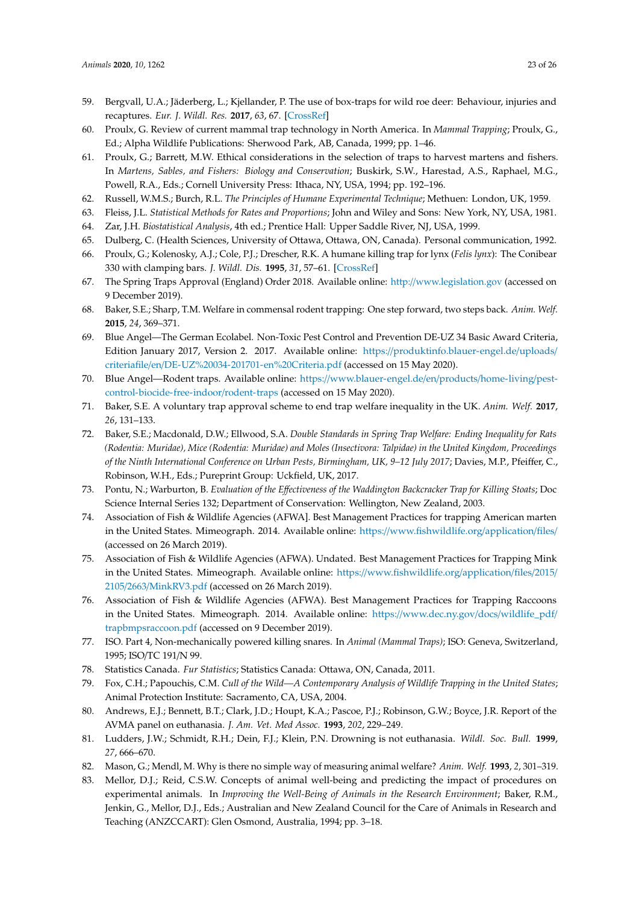- <span id="page-22-0"></span>59. Bergvall, U.A.; Jäderberg, L.; Kjellander, P. The use of box-traps for wild roe deer: Behaviour, injuries and recaptures. *Eur. J. Wildl. Res.* **2017**, *63*, 67. [\[CrossRef\]](http://dx.doi.org/10.1007/s10344-017-1120-7)
- <span id="page-22-1"></span>60. Proulx, G. Review of current mammal trap technology in North America. In *Mammal Trapping*; Proulx, G., Ed.; Alpha Wildlife Publications: Sherwood Park, AB, Canada, 1999; pp. 1–46.
- <span id="page-22-2"></span>61. Proulx, G.; Barrett, M.W. Ethical considerations in the selection of traps to harvest martens and fishers. In *Martens, Sables, and Fishers: Biology and Conservation*; Buskirk, S.W., Harestad, A.S., Raphael, M.G., Powell, R.A., Eds.; Cornell University Press: Ithaca, NY, USA, 1994; pp. 192–196.
- <span id="page-22-4"></span><span id="page-22-3"></span>62. Russell, W.M.S.; Burch, R.L. *The Principles of Humane Experimental Technique*; Methuen: London, UK, 1959.
- 63. Fleiss, J.L. *Statistical Methods for Rates and Proportions*; John and Wiley and Sons: New York, NY, USA, 1981.
- 64. Zar, J.H. *Biostatistical Analysis*, 4th ed.; Prentice Hall: Upper Saddle River, NJ, USA, 1999.
- <span id="page-22-5"></span>65. Dulberg, C. (Health Sciences, University of Ottawa, Ottawa, ON, Canada). Personal communication, 1992.
- <span id="page-22-6"></span>66. Proulx, G.; Kolenosky, A.J.; Cole, P.J.; Drescher, R.K. A humane killing trap for lynx (*Felis lynx*): The Conibear 330 with clamping bars. *J. Wildl. Dis.* **1995**, *31*, 57–61. [\[CrossRef\]](http://dx.doi.org/10.7589/0090-3558-31.1.57)
- <span id="page-22-7"></span>67. The Spring Traps Approval (England) Order 2018. Available online: http://[www.legislation.gov](http://www.legislation.gov) (accessed on 9 December 2019).
- <span id="page-22-8"></span>68. Baker, S.E.; Sharp, T.M. Welfare in commensal rodent trapping: One step forward, two steps back. *Anim. Welf.* **2015**, *24*, 369–371.
- <span id="page-22-9"></span>69. Blue Angel—The German Ecolabel. Non-Toxic Pest Control and Prevention DE-UZ 34 Basic Award Criteria, Edition January 2017, Version 2. 2017. Available online: https://[produktinfo.blauer-engel.de](https://produktinfo.blauer-engel.de/uploads/criteriafile/en/DE-UZ%20034-201701-en%20Criteria.pdf)/uploads/ criteriafile/en/[DE-UZ%20034-201701-en%20Criteria.pdf](https://produktinfo.blauer-engel.de/uploads/criteriafile/en/DE-UZ%20034-201701-en%20Criteria.pdf) (accessed on 15 May 2020).
- <span id="page-22-10"></span>70. Blue Angel—Rodent traps. Available online: https://[www.blauer-engel.de](https://www.blauer-engel.de/en/products/home-living/pest-control-biocide-free-indoor/rodent-traps)/en/products/home-living/pest[control-biocide-free-indoor](https://www.blauer-engel.de/en/products/home-living/pest-control-biocide-free-indoor/rodent-traps)/rodent-traps (accessed on 15 May 2020).
- <span id="page-22-11"></span>71. Baker, S.E. A voluntary trap approval scheme to end trap welfare inequality in the UK. *Anim. Welf.* **2017**, *26*, 131–133.
- <span id="page-22-12"></span>72. Baker, S.E.; Macdonald, D.W.; Ellwood, S.A. *Double Standards in Spring Trap Welfare: Ending Inequality for Rats (Rodentia: Muridae), Mice (Rodentia: Muridae) and Moles (Insectivora: Talpidae) in the United Kingdom, Proceedings of the Ninth International Conference on Urban Pests, Birmingham, UK, 9–12 July 2017*; Davies, M.P., Pfeiffer, C., Robinson, W.H., Eds.; Pureprint Group: Uckfield, UK, 2017.
- <span id="page-22-13"></span>73. Pontu, N.; Warburton, B. *Evaluation of the E*ff*ectiveness of the Waddington Backcracker Trap for Killing Stoats*; Doc Science Internal Series 132; Department of Conservation: Wellington, New Zealand, 2003.
- <span id="page-22-14"></span>74. Association of Fish & Wildlife Agencies (AFWA]. Best Management Practices for trapping American marten in the United States. Mimeograph. 2014. Available online: https://[www.fishwildlife.org](https://www.fishwildlife.org/application/files/)/application/files/ (accessed on 26 March 2019).
- <span id="page-22-15"></span>75. Association of Fish & Wildlife Agencies (AFWA). Undated. Best Management Practices for Trapping Mink in the United States. Mimeograph. Available online: https://[www.fishwildlife.org](https://www.fishwildlife.org/application/files/2015/2105/2663/MinkRV3.pdf)/application/files/2015/ 2105/2663/[MinkRV3.pdf](https://www.fishwildlife.org/application/files/2015/2105/2663/MinkRV3.pdf) (accessed on 26 March 2019).
- <span id="page-22-16"></span>76. Association of Fish & Wildlife Agencies (AFWA). Best Management Practices for Trapping Raccoons in the United States. Mimeograph. 2014. Available online: https://[www.dec.ny.gov](https://www.dec.ny.gov/docs/wildlife_pdf/trapbmpsraccoon.pdf)/docs/wildlife\_pdf/ [trapbmpsraccoon.pdf](https://www.dec.ny.gov/docs/wildlife_pdf/trapbmpsraccoon.pdf) (accessed on 9 December 2019).
- <span id="page-22-17"></span>77. ISO. Part 4, Non-mechanically powered killing snares. In *Animal (Mammal Traps)*; ISO: Geneva, Switzerland, 1995; ISO/TC 191/N 99.
- <span id="page-22-19"></span><span id="page-22-18"></span>78. Statistics Canada. *Fur Statistics*; Statistics Canada: Ottawa, ON, Canada, 2011.
- 79. Fox, C.H.; Papouchis, C.M. *Cull of the Wild—A Contemporary Analysis of Wildlife Trapping in the United States*; Animal Protection Institute: Sacramento, CA, USA, 2004.
- <span id="page-22-20"></span>80. Andrews, E.J.; Bennett, B.T.; Clark, J.D.; Houpt, K.A.; Pascoe, P.J.; Robinson, G.W.; Boyce, J.R. Report of the AVMA panel on euthanasia. *J. Am. Vet. Med Assoc.* **1993**, *202*, 229–249.
- <span id="page-22-21"></span>81. Ludders, J.W.; Schmidt, R.H.; Dein, F.J.; Klein, P.N. Drowning is not euthanasia. *Wildl. Soc. Bull.* **1999**, *27*, 666–670.
- <span id="page-22-22"></span>82. Mason, G.; Mendl, M. Why is there no simple way of measuring animal welfare? *Anim. Welf.* **1993**, *2*, 301–319.
- <span id="page-22-23"></span>83. Mellor, D.J.; Reid, C.S.W. Concepts of animal well-being and predicting the impact of procedures on experimental animals. In *Improving the Well-Being of Animals in the Research Environment*; Baker, R.M., Jenkin, G., Mellor, D.J., Eds.; Australian and New Zealand Council for the Care of Animals in Research and Teaching (ANZCCART): Glen Osmond, Australia, 1994; pp. 3–18.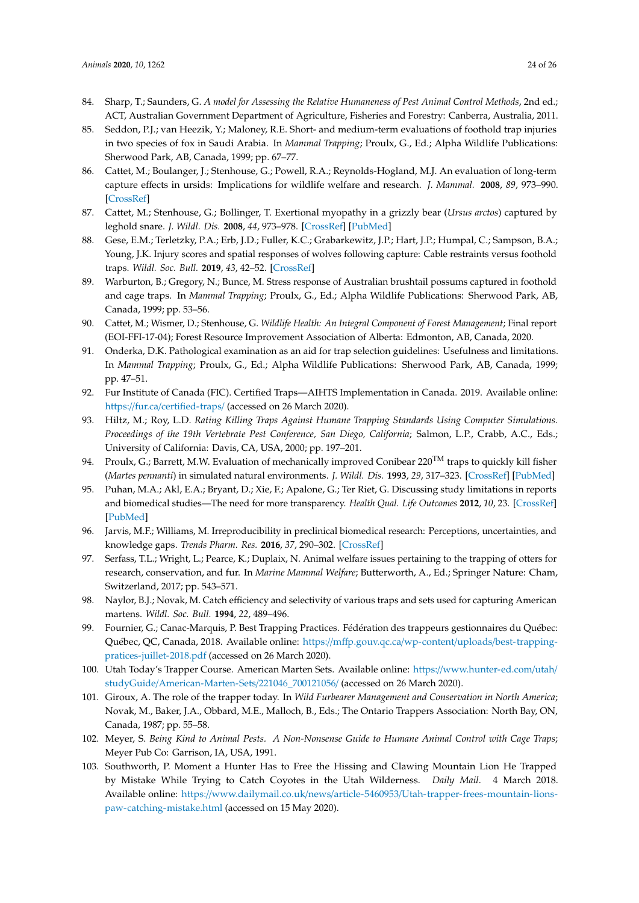- <span id="page-23-0"></span>84. Sharp, T.; Saunders, G. *A model for Assessing the Relative Humaneness of Pest Animal Control Methods*, 2nd ed.; ACT, Australian Government Department of Agriculture, Fisheries and Forestry: Canberra, Australia, 2011.
- <span id="page-23-1"></span>85. Seddon, P.J.; van Heezik, Y.; Maloney, R.E. Short- and medium-term evaluations of foothold trap injuries in two species of fox in Saudi Arabia. In *Mammal Trapping*; Proulx, G., Ed.; Alpha Wildlife Publications: Sherwood Park, AB, Canada, 1999; pp. 67–77.
- <span id="page-23-2"></span>86. Cattet, M.; Boulanger, J.; Stenhouse, G.; Powell, R.A.; Reynolds-Hogland, M.J. An evaluation of long-term capture effects in ursids: Implications for wildlife welfare and research. *J. Mammal.* **2008**, *89*, 973–990. [\[CrossRef\]](http://dx.doi.org/10.1644/08-MAMM-A-095.1)
- <span id="page-23-3"></span>87. Cattet, M.; Stenhouse, G.; Bollinger, T. Exertional myopathy in a grizzly bear (*Ursus arctos*) captured by leghold snare. *J. Wildl. Dis.* **2008**, *44*, 973–978. [\[CrossRef\]](http://dx.doi.org/10.7589/0090-3558-44.4.973) [\[PubMed\]](http://www.ncbi.nlm.nih.gov/pubmed/18957653)
- <span id="page-23-4"></span>88. Gese, E.M.; Terletzky, P.A.; Erb, J.D.; Fuller, K.C.; Grabarkewitz, J.P.; Hart, J.P.; Humpal, C.; Sampson, B.A.; Young, J.K. Injury scores and spatial responses of wolves following capture: Cable restraints versus foothold traps. *Wildl. Soc. Bull.* **2019**, *43*, 42–52. [\[CrossRef\]](http://dx.doi.org/10.1002/wsb.954)
- <span id="page-23-5"></span>89. Warburton, B.; Gregory, N.; Bunce, M. Stress response of Australian brushtail possums captured in foothold and cage traps. In *Mammal Trapping*; Proulx, G., Ed.; Alpha Wildlife Publications: Sherwood Park, AB, Canada, 1999; pp. 53–56.
- <span id="page-23-6"></span>90. Cattet, M.; Wismer, D.; Stenhouse, G. *Wildlife Health: An Integral Component of Forest Management*; Final report (EOI-FFI-17-04); Forest Resource Improvement Association of Alberta: Edmonton, AB, Canada, 2020.
- <span id="page-23-7"></span>91. Onderka, D.K. Pathological examination as an aid for trap selection guidelines: Usefulness and limitations. In *Mammal Trapping*; Proulx, G., Ed.; Alpha Wildlife Publications: Sherwood Park, AB, Canada, 1999; pp. 47–51.
- <span id="page-23-8"></span>92. Fur Institute of Canada (FIC). Certified Traps—AIHTS Implementation in Canada. 2019. Available online: https://fur.ca/[certified-traps](https://fur.ca/certified-traps/)/ (accessed on 26 March 2020).
- <span id="page-23-9"></span>93. Hiltz, M.; Roy, L.D. *Rating Killing Traps Against Humane Trapping Standards Using Computer Simulations. Proceedings of the 19th Vertebrate Pest Conference, San Diego, California*; Salmon, L.P., Crabb, A.C., Eds.; University of California: Davis, CA, USA, 2000; pp. 197–201.
- <span id="page-23-10"></span>94. Proulx, G.; Barrett, M.W. Evaluation of mechanically improved Conibear  $220^{TM}$  traps to quickly kill fisher (*Martes pennanti*) in simulated natural environments. *J. Wildl. Dis.* **1993**, *29*, 317–323. [\[CrossRef\]](http://dx.doi.org/10.7589/0090-3558-29.2.317) [\[PubMed\]](http://www.ncbi.nlm.nih.gov/pubmed/8487383)
- <span id="page-23-11"></span>95. Puhan, M.A.; Akl, E.A.; Bryant, D.; Xie, F.; Apalone, G.; Ter Riet, G. Discussing study limitations in reports and biomedical studies—The need for more transparency. *Health Qual. Life Outcomes* **2012**, *10*, 23. [\[CrossRef\]](http://dx.doi.org/10.1186/1477-7525-10-23) [\[PubMed\]](http://www.ncbi.nlm.nih.gov/pubmed/22360847)
- <span id="page-23-12"></span>96. Jarvis, M.F.; Williams, M. Irreproducibility in preclinical biomedical research: Perceptions, uncertainties, and knowledge gaps. *Trends Pharm. Res.* **2016**, *37*, 290–302. [\[CrossRef\]](http://dx.doi.org/10.1016/j.tips.2015.12.001)
- <span id="page-23-13"></span>97. Serfass, T.L.; Wright, L.; Pearce, K.; Duplaix, N. Animal welfare issues pertaining to the trapping of otters for research, conservation, and fur. In *Marine Mammal Welfare*; Butterworth, A., Ed.; Springer Nature: Cham, Switzerland, 2017; pp. 543–571.
- <span id="page-23-14"></span>98. Naylor, B.J.; Novak, M. Catch efficiency and selectivity of various traps and sets used for capturing American martens. *Wildl. Soc. Bull.* **1994**, *22*, 489–496.
- <span id="page-23-15"></span>99. Fournier, G.; Canac-Marquis, P. Best Trapping Practices. Fédération des trappeurs gestionnaires du Québec: Québec, QC, Canada, 2018. Available online: https://mffp.gouv.qc.ca/wp-content/uploads/[best-trapping](https://mffp.gouv.qc.ca/wp-content/uploads/best-trapping-pratices-juillet-2018.pdf)[pratices-juillet-2018.pdf](https://mffp.gouv.qc.ca/wp-content/uploads/best-trapping-pratices-juillet-2018.pdf) (accessed on 26 March 2020).
- <span id="page-23-16"></span>100. Utah Today's Trapper Course. American Marten Sets. Available online: https://[www.hunter-ed.com](https://www.hunter-ed.com/utah/studyGuide/American-Marten-Sets/221046_700121056/)/utah/ studyGuide/[American-Marten-Sets](https://www.hunter-ed.com/utah/studyGuide/American-Marten-Sets/221046_700121056/)/221046\_700121056/ (accessed on 26 March 2020).
- <span id="page-23-17"></span>101. Giroux, A. The role of the trapper today. In *Wild Furbearer Management and Conservation in North America*; Novak, M., Baker, J.A., Obbard, M.E., Malloch, B., Eds.; The Ontario Trappers Association: North Bay, ON, Canada, 1987; pp. 55–58.
- <span id="page-23-18"></span>102. Meyer, S. *Being Kind to Animal Pests. A Non-Nonsense Guide to Humane Animal Control with Cage Traps*; Meyer Pub Co: Garrison, IA, USA, 1991.
- <span id="page-23-19"></span>103. Southworth, P. Moment a Hunter Has to Free the Hissing and Clawing Mountain Lion He Trapped by Mistake While Trying to Catch Coyotes in the Utah Wilderness. *Daily Mail*. 4 March 2018. Available online: https://www.dailymail.co.uk/news/article-5460953/[Utah-trapper-frees-mountain-lions](https://www.dailymail.co.uk/news/article-5460953/Utah-trapper-frees-mountain-lions-paw-catching-mistake.html)[paw-catching-mistake.html](https://www.dailymail.co.uk/news/article-5460953/Utah-trapper-frees-mountain-lions-paw-catching-mistake.html) (accessed on 15 May 2020).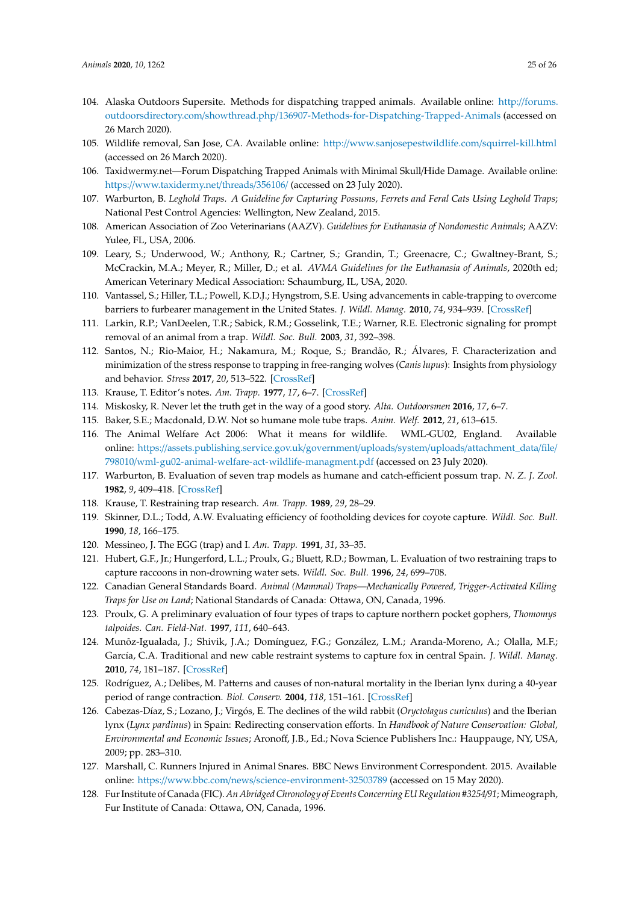- <span id="page-24-0"></span>104. Alaska Outdoors Supersite. Methods for dispatching trapped animals. Available online: http://[forums.](http://forums.outdoorsdirectory.com/showthread.php/136907-Methods-for-Dispatching-Trapped-Animals) outdoorsdirectory.com/showthread.php/[136907-Methods-for-Dispatching-Trapped-Animals](http://forums.outdoorsdirectory.com/showthread.php/136907-Methods-for-Dispatching-Trapped-Animals) (accessed on 26 March 2020).
- <span id="page-24-1"></span>105. Wildlife removal, San Jose, CA. Available online: http://[www.sanjosepestwildlife.com](http://www.sanjosepestwildlife.com/squirrel-kill.html)/squirrel-kill.html (accessed on 26 March 2020).
- <span id="page-24-2"></span>106. Taxidwermy.net—Forum Dispatching Trapped Animals with Minimal Skull/Hide Damage. Available online: https://[www.taxidermy.net](https://www.taxidermy.net/threads/356106/)/threads/356106/ (accessed on 23 July 2020).
- <span id="page-24-3"></span>107. Warburton, B. *Leghold Traps. A Guideline for Capturing Possums, Ferrets and Feral Cats Using Leghold Traps*; National Pest Control Agencies: Wellington, New Zealand, 2015.
- <span id="page-24-4"></span>108. American Association of Zoo Veterinarians (AAZV). *Guidelines for Euthanasia of Nondomestic Animals*; AAZV: Yulee, FL, USA, 2006.
- <span id="page-24-5"></span>109. Leary, S.; Underwood, W.; Anthony, R.; Cartner, S.; Grandin, T.; Greenacre, C.; Gwaltney-Brant, S.; McCrackin, M.A.; Meyer, R.; Miller, D.; et al. *AVMA Guidelines for the Euthanasia of Animals*, 2020th ed; American Veterinary Medical Association: Schaumburg, IL, USA, 2020.
- <span id="page-24-6"></span>110. Vantassel, S.; Hiller, T.L.; Powell, K.D.J.; Hyngstrom, S.E. Using advancements in cable-trapping to overcome barriers to furbearer management in the United States. *J. Wildl. Manag.* **2010**, *74*, 934–939. [\[CrossRef\]](http://dx.doi.org/10.2193/2009-298)
- <span id="page-24-7"></span>111. Larkin, R.P.; VanDeelen, T.R.; Sabick, R.M.; Gosselink, T.E.; Warner, R.E. Electronic signaling for prompt removal of an animal from a trap. *Wildl. Soc. Bull.* **2003**, *31*, 392–398.
- <span id="page-24-8"></span>112. Santos, N.; Rio-Maior, H.; Nakamura, M.; Roque, S.; Brandão, R.; Álvares, F. Characterization and minimization of the stress response to trapping in free-ranging wolves (*Canis lupus*): Insights from physiology and behavior. *Stress* **2017**, *20*, 513–522. [\[CrossRef\]](http://dx.doi.org/10.1080/10253890.2017.1368487)
- <span id="page-24-9"></span>113. Krause, T. Editor's notes. *Am. Trapp.* **1977**, *17*, 6–7. [\[CrossRef\]](http://dx.doi.org/10.1080/15579336.1996.11770130)
- <span id="page-24-10"></span>114. Miskosky, R. Never let the truth get in the way of a good story. *Alta. Outdoorsmen* **2016**, *17*, 6–7.
- <span id="page-24-11"></span>115. Baker, S.E.; Macdonald, D.W. Not so humane mole tube traps. *Anim. Welf.* **2012**, *21*, 613–615.
- <span id="page-24-12"></span>116. The Animal Welfare Act 2006: What it means for wildlife. WML-GU02, England. Available online: https://[assets.publishing.service.gov.uk](https://assets.publishing.service.gov.uk/government/uploads/system/uploads/attachment_data/file/798010/wml-gu02-animal-welfare-act-wildlife-managment.pdf)/government/uploads/system/uploads/attachment\_data/file/ 798010/[wml-gu02-animal-welfare-act-wildlife-managment.pdf](https://assets.publishing.service.gov.uk/government/uploads/system/uploads/attachment_data/file/798010/wml-gu02-animal-welfare-act-wildlife-managment.pdf) (accessed on 23 July 2020).
- <span id="page-24-13"></span>117. Warburton, B. Evaluation of seven trap models as humane and catch-efficient possum trap. *N. Z. J. Zool.* **1982**, *9*, 409–418. [\[CrossRef\]](http://dx.doi.org/10.1080/03014223.1982.10423871)
- <span id="page-24-14"></span>118. Krause, T. Restraining trap research. *Am. Trapp.* **1989**, *29*, 28–29.
- <span id="page-24-15"></span>119. Skinner, D.L.; Todd, A.W. Evaluating efficiency of footholding devices for coyote capture. *Wildl. Soc. Bull.* **1990**, *18*, 166–175.
- <span id="page-24-16"></span>120. Messineo, J. The EGG (trap) and I. *Am. Trapp.* **1991**, *31*, 33–35.
- <span id="page-24-17"></span>121. Hubert, G.F., Jr.; Hungerford, L.L.; Proulx, G.; Bluett, R.D.; Bowman, L. Evaluation of two restraining traps to capture raccoons in non-drowning water sets. *Wildl. Soc. Bull.* **1996**, *24*, 699–708.
- <span id="page-24-18"></span>122. Canadian General Standards Board. *Animal (Mammal) Traps—Mechanically Powered, Trigger-Activated Killing Traps for Use on Land*; National Standards of Canada: Ottawa, ON, Canada, 1996.
- <span id="page-24-19"></span>123. Proulx, G. A preliminary evaluation of four types of traps to capture northern pocket gophers, *Thomomys talpoides*. *Can. Field-Nat.* **1997**, *111*, 640–643.
- <span id="page-24-20"></span>124. Munõz-Igualada, J.; Shivik, J.A.; Domínguez, F.G.; González, L.M.; Aranda-Moreno, A.; Olalla, M.F.; García, C.A. Traditional and new cable restraint systems to capture fox in central Spain. *J. Wildl. Manag.* **2010**, *74*, 181–187. [\[CrossRef\]](http://dx.doi.org/10.2193/2008-603)
- <span id="page-24-21"></span>125. Rodríguez, A.; Delibes, M. Patterns and causes of non-natural mortality in the Iberian lynx during a 40-year period of range contraction. *Biol. Conserv.* **2004**, *118*, 151–161. [\[CrossRef\]](http://dx.doi.org/10.1016/j.biocon.2003.07.018)
- <span id="page-24-22"></span>126. Cabezas-Díaz, S.; Lozano, J.; Virgós, E. The declines of the wild rabbit (*Oryctolagus cuniculus*) and the Iberian lynx (*Lynx pardinus*) in Spain: Redirecting conservation efforts. In *Handbook of Nature Conservation: Global, Environmental and Economic Issues*; Aronoff, J.B., Ed.; Nova Science Publishers Inc.: Hauppauge, NY, USA, 2009; pp. 283–310.
- <span id="page-24-23"></span>127. Marshall, C. Runners Injured in Animal Snares. BBC News Environment Correspondent. 2015. Available online: https://www.bbc.com/news/[science-environment-32503789](https://www.bbc.com/news/science-environment-32503789) (accessed on 15 May 2020).
- <span id="page-24-24"></span>128. Fur Institute of Canada (FIC). *An Abridged Chronology of Events Concerning EU Regulation #3254*/*91*; Mimeograph, Fur Institute of Canada: Ottawa, ON, Canada, 1996.